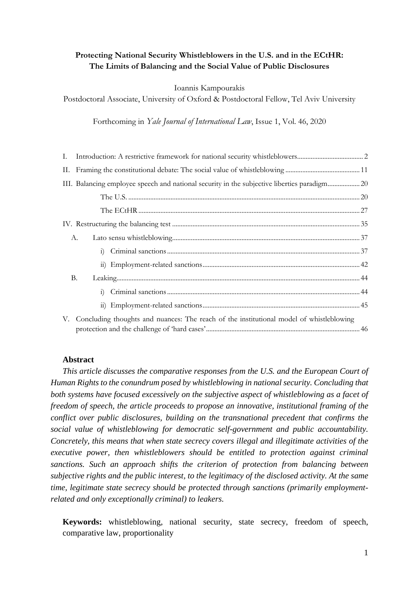## **Protecting National Security Whistleblowers in the U.S. and in the ECtHR: The Limits of Balancing and the Social Value of Public Disclosures**

Ioannis Kampourakis

Postdoctoral Associate, University of Oxford & Postdoctoral Fellow, Tel Aviv University

Forthcoming in *Yale Journal of International Law*, Issue 1, Vol. 46, 2020

| III. Balancing employee speech and national security in the subjective liberties paradigm20 |  |
|---------------------------------------------------------------------------------------------|--|
|                                                                                             |  |
|                                                                                             |  |
|                                                                                             |  |
| A.                                                                                          |  |
|                                                                                             |  |
|                                                                                             |  |
| <b>B.</b>                                                                                   |  |
|                                                                                             |  |
|                                                                                             |  |
| V. Concluding thoughts and nuances: The reach of the institutional model of whistleblowing  |  |

## **Abstract**

*This article discusses the comparative responses from the U.S. and the European Court of Human Rights to the conundrum posed by whistleblowing in national security. Concluding that both systems have focused excessively on the subjective aspect of whistleblowing as a facet of freedom of speech, the article proceeds to propose an innovative, institutional framing of the conflict over public disclosures, building on the transnational precedent that confirms the social value of whistleblowing for democratic self-government and public accountability. Concretely, this means that when state secrecy covers illegal and illegitimate activities of the executive power, then whistleblowers should be entitled to protection against criminal sanctions. Such an approach shifts the criterion of protection from balancing between subjective rights and the public interest, to the legitimacy of the disclosed activity. At the same time, legitimate state secrecy should be protected through sanctions (primarily employmentrelated and only exceptionally criminal) to leakers.* 

**Keywords:** whistleblowing, national security, state secrecy, freedom of speech, comparative law, proportionality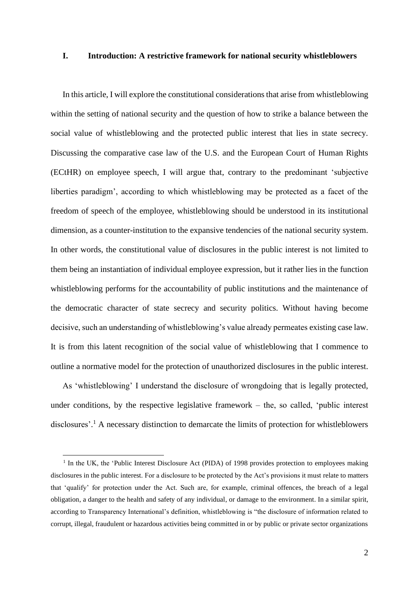#### <span id="page-1-0"></span>**I. Introduction: A restrictive framework for national security whistleblowers**

In this article, I will explore the constitutional considerations that arise from whistleblowing within the setting of national security and the question of how to strike a balance between the social value of whistleblowing and the protected public interest that lies in state secrecy. Discussing the comparative case law of the U.S. and the European Court of Human Rights (ECtHR) on employee speech, I will argue that, contrary to the predominant 'subjective liberties paradigm', according to which whistleblowing may be protected as a facet of the freedom of speech of the employee, whistleblowing should be understood in its institutional dimension, as a counter-institution to the expansive tendencies of the national security system. In other words, the constitutional value of disclosures in the public interest is not limited to them being an instantiation of individual employee expression, but it rather lies in the function whistleblowing performs for the accountability of public institutions and the maintenance of the democratic character of state secrecy and security politics. Without having become decisive, such an understanding of whistleblowing's value already permeates existing case law. It is from this latent recognition of the social value of whistleblowing that I commence to outline a normative model for the protection of unauthorized disclosures in the public interest.

As 'whistleblowing' I understand the disclosure of wrongdoing that is legally protected, under conditions, by the respective legislative framework – the, so called, 'public interest disclosures'. <sup>1</sup> A necessary distinction to demarcate the limits of protection for whistleblowers

<sup>&</sup>lt;sup>1</sup> In the UK, the 'Public Interest Disclosure Act (PIDA) of 1998 provides protection to employees making disclosures in the public interest. For a disclosure to be protected by the Act's provisions it must relate to matters that 'qualify' for protection under the Act. Such are, for example, criminal offences, the breach of a legal obligation, a danger to the health and safety of any individual, or damage to the environment. In a similar spirit, according to Transparency International's definition, whistleblowing is "the disclosure of information related to corrupt, illegal, fraudulent or hazardous activities being committed in or by public or private sector organizations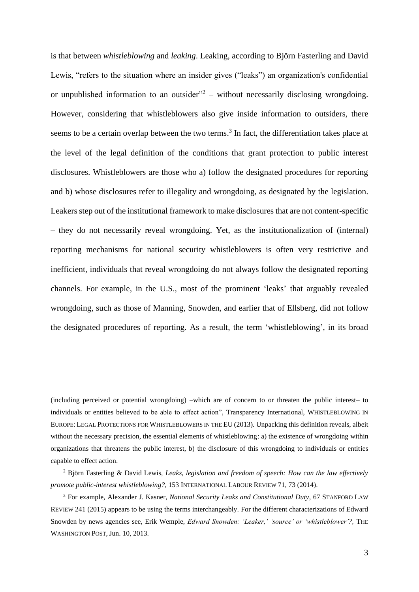is that between *whistleblowing* and *leaking*. Leaking, according to Björn Fasterling and David Lewis, "refers to the situation where an insider gives ("leaks") an organization's confidential or unpublished information to an outsider<sup>"2</sup> – without necessarily disclosing wrongdoing. However, considering that whistleblowers also give inside information to outsiders, there seems to be a certain overlap between the two terms. 3 In fact, the differentiation takes place at the level of the legal definition of the conditions that grant protection to public interest disclosures. Whistleblowers are those who a) follow the designated procedures for reporting and b) whose disclosures refer to illegality and wrongdoing, as designated by the legislation. Leakers step out of the institutional framework to make disclosures that are not content-specific – they do not necessarily reveal wrongdoing. Yet, as the institutionalization of (internal) reporting mechanisms for national security whistleblowers is often very restrictive and inefficient, individuals that reveal wrongdoing do not always follow the designated reporting channels. For example, in the U.S., most of the prominent 'leaks' that arguably revealed wrongdoing, such as those of Manning, Snowden, and earlier that of Ellsberg, did not follow the designated procedures of reporting. As a result, the term 'whistleblowing', in its broad

<sup>(</sup>including perceived or potential wrongdoing) –which are of concern to or threaten the public interest– to individuals or entities believed to be able to effect action", Transparency International, WHISTLEBLOWING IN EUROPE: LEGAL PROTECTIONS FOR WHISTLEBLOWERS IN THE EU (2013). Unpacking this definition reveals, albeit without the necessary precision, the essential elements of whistleblowing: a) the existence of wrongdoing within organizations that threatens the public interest, b) the disclosure of this wrongdoing to individuals or entities capable to effect action.

<sup>2</sup> Björn Fasterling & David Lewis, *Leaks, legislation and freedom of speech: How can the law effectively promote public-interest whistleblowing?*, 153 INTERNATIONAL LABOUR REVIEW 71, 73 (2014).

<sup>3</sup> For example, Alexander J. Kasner, *National Security Leaks and Constitutional Duty*, 67 STANFORD LAW REVIEW 241 (2015) appears to be using the terms interchangeably. For the different characterizations of Edward Snowden by news agencies see, Erik Wemple, *Edward Snowden: 'Leaker,' 'source' or 'whistleblower'?*, THE WASHINGTON POST, Jun. 10, 2013.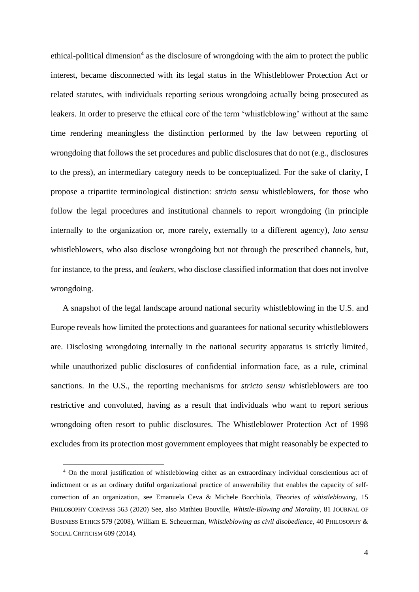ethical-political dimension<sup>4</sup> as the disclosure of wrongdoing with the aim to protect the public interest, became disconnected with its legal status in the Whistleblower Protection Act or related statutes, with individuals reporting serious wrongdoing actually being prosecuted as leakers. In order to preserve the ethical core of the term 'whistleblowing' without at the same time rendering meaningless the distinction performed by the law between reporting of wrongdoing that follows the set procedures and public disclosures that do not (e.g., disclosures to the press), an intermediary category needs to be conceptualized. For the sake of clarity, I propose a tripartite terminological distinction: *stricto sensu* whistleblowers, for those who follow the legal procedures and institutional channels to report wrongdoing (in principle internally to the organization or, more rarely, externally to a different agency), *lato sensu* whistleblowers, who also disclose wrongdoing but not through the prescribed channels, but, for instance, to the press, and *leakers*, who disclose classified information that does not involve wrongdoing.

A snapshot of the legal landscape around national security whistleblowing in the U.S. and Europe reveals how limited the protections and guarantees for national security whistleblowers are. Disclosing wrongdoing internally in the national security apparatus is strictly limited, while unauthorized public disclosures of confidential information face, as a rule, criminal sanctions. In the U.S., the reporting mechanisms for *stricto sensu* whistleblowers are too restrictive and convoluted, having as a result that individuals who want to report serious wrongdoing often resort to public disclosures. The Whistleblower Protection Act of 1998 excludes from its protection most government employees that might reasonably be expected to

<sup>4</sup> On the moral justification of whistleblowing either as an extraordinary individual conscientious act of indictment or as an ordinary dutiful organizational practice of answerability that enables the capacity of selfcorrection of an organization, see Emanuela Ceva & Michele Bocchiola, *Theories of whistleblowing*, 15 PHILOSOPHY COMPASS 563 (2020) See, also Mathieu Bouville, *Whistle-Blowing and Morality*, 81 JOURNAL OF BUSINESS ETHICS 579 (2008), William E. Scheuerman, *Whistleblowing as civil disobedience*, 40 PHILOSOPHY & SOCIAL CRITICISM 609 (2014).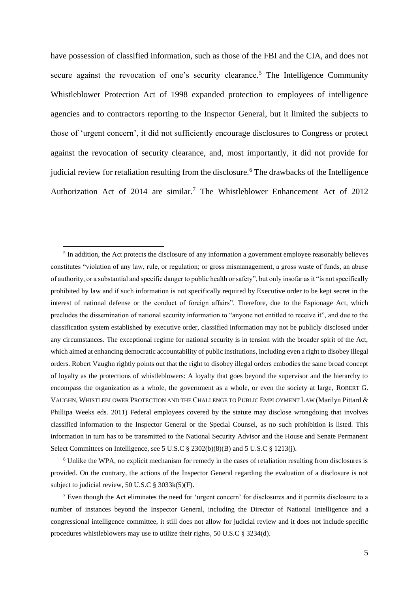have possession of classified information, such as those of the FBI and the CIA, and does not secure against the revocation of one's security clearance.<sup>5</sup> The Intelligence Community Whistleblower Protection Act of 1998 expanded protection to employees of intelligence agencies and to contractors reporting to the Inspector General, but it limited the subjects to those of 'urgent concern', it did not sufficiently encourage disclosures to Congress or protect against the revocation of security clearance, and, most importantly, it did not provide for judicial review for retaliation resulting from the disclosure.<sup>6</sup> The drawbacks of the Intelligence Authorization Act of 2014 are similar.<sup>7</sup> The Whistleblower Enhancement Act of 2012

<sup>6</sup> Unlike the WPA, no explicit mechanism for remedy in the cases of retaliation resulting from disclosures is provided. On the contrary, the actions of the Inspector General regarding the evaluation of a disclosure is not subject to judicial review, 50 U.S.C § 3033k(5)(F).

 $<sup>5</sup>$  In addition, the Act protects the disclosure of any information a government employee reasonably believes</sup> constitutes "violation of any law, rule, or regulation; or gross mismanagement, a gross waste of funds, an abuse of authority, or a substantial and specific danger to public health or safety", but only insofar as it "is not specifically prohibited by law and if such information is not specifically required by Executive order to be kept secret in the interest of national defense or the conduct of foreign affairs". Therefore, due to the Espionage Act, which precludes the dissemination of national security information to "anyone not entitled to receive it", and due to the classification system established by executive order, classified information may not be publicly disclosed under any circumstances. The exceptional regime for national security is in tension with the broader spirit of the Act, which aimed at enhancing democratic accountability of public institutions, including even a right to disobey illegal orders. Robert Vaughn rightly points out that the right to disobey illegal orders embodies the same broad concept of loyalty as the protections of whistleblowers: A loyalty that goes beyond the supervisor and the hierarchy to encompass the organization as a whole, the government as a whole, or even the society at large, ROBERT G. VAUGHN, WHISTLEBLOWER PROTECTION AND THE CHALLENGE TO PUBLIC EMPLOYMENT LAW (Marilyn Pittard & Phillipa Weeks eds. 2011) Federal employees covered by the statute may disclose wrongdoing that involves classified information to the Inspector General or the Special Counsel, as no such prohibition is listed. This information in turn has to be transmitted to the National Security Advisor and the House and Senate Permanent Select Committees on Intelligence, see 5 U.S.C § 2302(b)(8)(B) and 5 U.S.C § 1213(j).

<sup>7</sup> Even though the Act eliminates the need for 'urgent concern' for disclosures and it permits disclosure to a number of instances beyond the Inspector General, including the Director of National Intelligence and a congressional intelligence committee, it still does not allow for judicial review and it does not include specific procedures whistleblowers may use to utilize their rights, 50 U.S.C § 3234(d).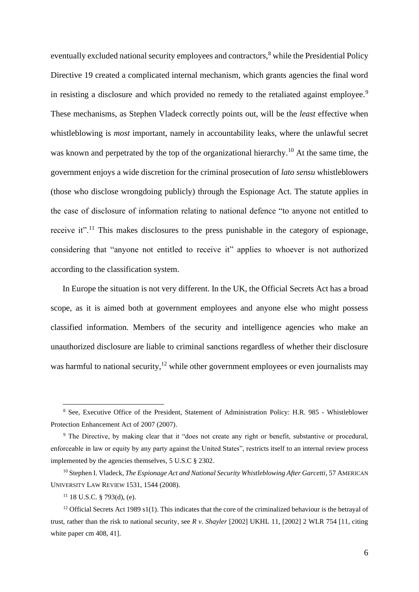eventually excluded national security employees and contractors,<sup>8</sup> while the Presidential Policy Directive 19 created a complicated internal mechanism, which grants agencies the final word in resisting a disclosure and which provided no remedy to the retaliated against employee.<sup>9</sup> These mechanisms, as Stephen Vladeck correctly points out, will be the *least* effective when whistleblowing is *most* important, namely in accountability leaks, where the unlawful secret was known and perpetrated by the top of the organizational hierarchy.<sup>10</sup> At the same time, the government enjoys a wide discretion for the criminal prosecution of *lato sensu* whistleblowers (those who disclose wrongdoing publicly) through the Espionage Act. The statute applies in the case of disclosure of information relating to national defence "to anyone not entitled to receive it".<sup>11</sup> This makes disclosures to the press punishable in the category of espionage, considering that "anyone not entitled to receive it" applies to whoever is not authorized according to the classification system.

In Europe the situation is not very different. In the UK, the Official Secrets Act has a broad scope, as it is aimed both at government employees and anyone else who might possess classified information. Members of the security and intelligence agencies who make an unauthorized disclosure are liable to criminal sanctions regardless of whether their disclosure was harmful to national security,<sup>12</sup> while other government employees or even journalists may

<sup>8</sup> See, Executive Office of the President, Statement of Administration Policy: H.R. 985 - Whistleblower Protection Enhancement Act of 2007 (2007).

<sup>9</sup> The Directive, by making clear that it "does not create any right or benefit, substantive or procedural, enforceable in law or equity by any party against the United States", restricts itself to an internal review process implemented by the agencies themselves, 5 U.S.C § 2302.

<sup>&</sup>lt;sup>10</sup> Stephen I. Vladeck, *The Espionage Act and National Security Whistleblowing After Garcetti*, 57 AMERICAN UNIVERSITY LAW REVIEW 1531, 1544 (2008).

 $11$  18 U.S.C. § 793(d), (e).

<sup>&</sup>lt;sup>12</sup> Official Secrets Act 1989 s1(1). This indicates that the core of the criminalized behaviour is the betrayal of trust, rather than the risk to national security, see *R v. Shayler* [2002] UKHL 11, [2002] 2 WLR 754 [11, citing white paper cm 408, 41].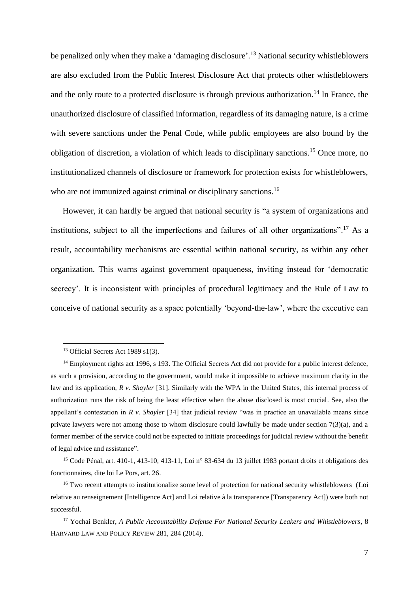be penalized only when they make a 'damaging disclosure'.<sup>13</sup> National security whistleblowers are also excluded from the Public Interest Disclosure Act that protects other whistleblowers and the only route to a protected disclosure is through previous authorization.<sup>14</sup> In France, the unauthorized disclosure of classified information, regardless of its damaging nature, is a crime with severe sanctions under the Penal Code, while public employees are also bound by the obligation of discretion, a violation of which leads to disciplinary sanctions.<sup>15</sup> Once more, no institutionalized channels of disclosure or framework for protection exists for whistleblowers, who are not immunized against criminal or disciplinary sanctions.<sup>16</sup>

However, it can hardly be argued that national security is "a system of organizations and institutions, subject to all the imperfections and failures of all other organizations".<sup>17</sup> As a result, accountability mechanisms are essential within national security, as within any other organization. This warns against government opaqueness, inviting instead for 'democratic secrecy'. It is inconsistent with principles of procedural legitimacy and the Rule of Law to conceive of national security as a space potentially 'beyond-the-law', where the executive can

<sup>&</sup>lt;sup>13</sup> Official Secrets Act 1989 s1(3).

<sup>&</sup>lt;sup>14</sup> Employment rights act 1996, s 193. The Official Secrets Act did not provide for a public interest defence, as such a provision, according to the government, would make it impossible to achieve maximum clarity in the law and its application, *R v. Shayler* [31]. Similarly with the WPA in the United States, this internal process of authorization runs the risk of being the least effective when the abuse disclosed is most crucial. See, also the appellant's contestation in *R v. Shayler* [34] that judicial review "was in practice an unavailable means since private lawyers were not among those to whom disclosure could lawfully be made under section  $7(3)(a)$ , and a former member of the service could not be expected to initiate proceedings for judicial review without the benefit of legal advice and assistance".

<sup>&</sup>lt;sup>15</sup> Code Pénal, art. 410-1, 413-10, 413-11, Loi n° 83-634 du 13 juillet 1983 portant droits et obligations des fonctionnaires, dite loi Le Pors, art. 26.

<sup>&</sup>lt;sup>16</sup> Two recent attempts to institutionalize some level of protection for national security whistleblowers (Loi relative au renseignement [Intelligence Act] and Loi relative à la transparence [Transparency Act]) were both not successful.

<sup>17</sup> Yochai Benkler, *A Public Accountability Defense For National Security Leakers and Whistleblowers*, 8 HARVARD LAW AND POLICY REVIEW 281, 284 (2014).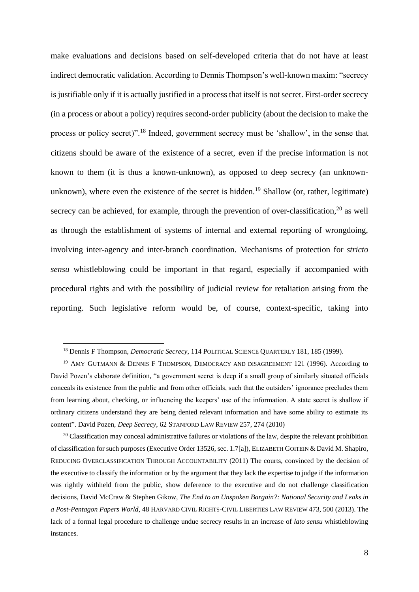make evaluations and decisions based on self-developed criteria that do not have at least indirect democratic validation. According to Dennis Thompson's well-known maxim: "secrecy is justifiable only if it is actually justified in a process that itself is not secret. First-order secrecy (in a process or about a policy) requires second-order publicity (about the decision to make the process or policy secret)".<sup>18</sup> Indeed, government secrecy must be 'shallow', in the sense that citizens should be aware of the existence of a secret, even if the precise information is not known to them (it is thus a known-unknown), as opposed to deep secrecy (an unknownunknown), where even the existence of the secret is hidden.<sup>19</sup> Shallow (or, rather, legitimate) secrecy can be achieved, for example, through the prevention of over-classification, $20$  as well as through the establishment of systems of internal and external reporting of wrongdoing, involving inter-agency and inter-branch coordination. Mechanisms of protection for *stricto sensu* whistleblowing could be important in that regard, especially if accompanied with procedural rights and with the possibility of judicial review for retaliation arising from the reporting. Such legislative reform would be, of course, context-specific, taking into

<sup>18</sup> Dennis F Thompson, *Democratic Secrecy*, 114 POLITICAL SCIENCE QUARTERLY 181, 185 (1999).

<sup>&</sup>lt;sup>19</sup> AMY GUTMANN & DENNIS F THOMPSON, DEMOCRACY AND DISAGREEMENT 121 (1996). According to David Pozen's elaborate definition, "a government secret is deep if a small group of similarly situated officials conceals its existence from the public and from other officials, such that the outsiders' ignorance precludes them from learning about, checking, or influencing the keepers' use of the information. A state secret is shallow if ordinary citizens understand they are being denied relevant information and have some ability to estimate its content". David Pozen, *Deep Secrecy*, 62 STANFORD LAW REVIEW 257, 274 (2010)

 $^{20}$  Classification may conceal administrative failures or violations of the law, despite the relevant prohibition of classification for such purposes (Executive Order 13526, sec. 1.7[a]), ELIZABETH GOITEIN & David M. Shapiro, REDUCING OVERCLASSIFICATION THROUGH ACCOUNTABILITY (2011) The courts, convinced by the decision of the executive to classify the information or by the argument that they lack the expertise to judge if the information was rightly withheld from the public, show deference to the executive and do not challenge classification decisions, David McCraw & Stephen Gikow, *The End to an Unspoken Bargain?: National Security and Leaks in a Post-Pentagon Papers World*, 48 HARVARD CIVIL RIGHTS-CIVIL LIBERTIES LAW REVIEW 473, 500 (2013). The lack of a formal legal procedure to challenge undue secrecy results in an increase of *lato sensu* whistleblowing instances.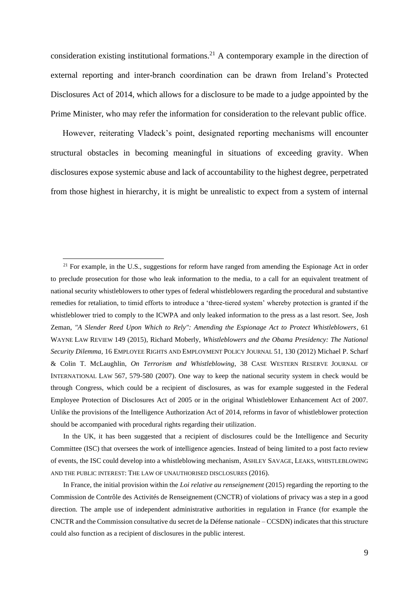consideration existing institutional formations.<sup>21</sup> A contemporary example in the direction of external reporting and inter-branch coordination can be drawn from Ireland's Protected Disclosures Act of 2014, which allows for a disclosure to be made to a judge appointed by the Prime Minister, who may refer the information for consideration to the relevant public office.

However, reiterating Vladeck's point, designated reporting mechanisms will encounter structural obstacles in becoming meaningful in situations of exceeding gravity. When disclosures expose systemic abuse and lack of accountability to the highest degree, perpetrated from those highest in hierarchy, it is might be unrealistic to expect from a system of internal

In the UK, it has been suggested that a recipient of disclosures could be the Intelligence and Security Committee (ISC) that oversees the work of intelligence agencies. Instead of being limited to a post facto review of events, the ISC could develop into a whistleblowing mechanism, ASHLEY SAVAGE, LEAKS, WHISTLEBLOWING AND THE PUBLIC INTEREST: THE LAW OF UNAUTHORISED DISCLOSURES (2016).

In France, the initial provision within the *Loi relative au renseignement* (2015) regarding the reporting to the Commission de Contrôle des Activités de Renseignement (CNCTR) of violations of privacy was a step in a good direction. The ample use of independent administrative authorities in regulation in France (for example the CNCTR and the Commission consultative du secret de la Défense nationale – CCSDN) indicates that this structure could also function as a recipient of disclosures in the public interest.

 $^{21}$  For example, in the U.S., suggestions for reform have ranged from amending the Espionage Act in order to preclude prosecution for those who leak information to the media, to a call for an equivalent treatment of national security whistleblowers to other types of federal whistleblowers regarding the procedural and substantive remedies for retaliation, to timid efforts to introduce a 'three-tiered system' whereby protection is granted if the whistleblower tried to comply to the ICWPA and only leaked information to the press as a last resort. See, Josh Zeman, *"A Slender Reed Upon Which to Rely": Amending the Espionage Act to Protect Whistleblowers*, 61 WAYNE LAW REVIEW 149 (2015), Richard Moberly, *Whistleblowers and the Obama Presidency: The National Security Dilemma*, 16 EMPLOYEE RIGHTS AND EMPLOYMENT POLICY JOURNAL 51, 130 (2012) Michael P. Scharf & Colin T. McLaughlin, *On Terrorism and Whistleblowing*, 38 CASE WESTERN RESERVE JOURNAL OF INTERNATIONAL LAW 567, 579-580 (2007). One way to keep the national security system in check would be through Congress, which could be a recipient of disclosures, as was for example suggested in the Federal Employee Protection of Disclosures Act of 2005 or in the original Whistleblower Enhancement Act of 2007. Unlike the provisions of the Intelligence Authorization Act of 2014, reforms in favor of whistleblower protection should be accompanied with procedural rights regarding their utilization.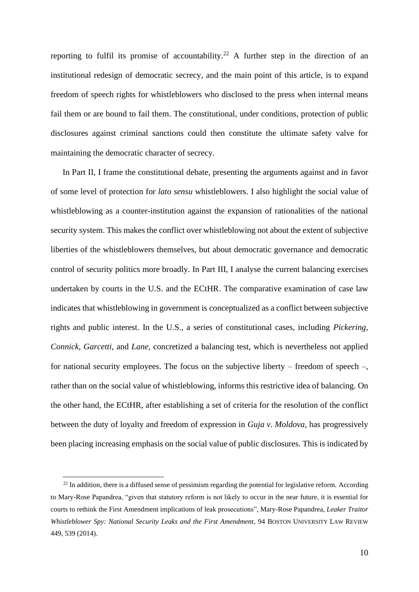reporting to fulfil its promise of accountability.<sup>22</sup> A further step in the direction of an institutional redesign of democratic secrecy, and the main point of this article, is to expand freedom of speech rights for whistleblowers who disclosed to the press when internal means fail them or are bound to fail them. The constitutional, under conditions, protection of public disclosures against criminal sanctions could then constitute the ultimate safety valve for maintaining the democratic character of secrecy.

In Part II, I frame the constitutional debate, presenting the arguments against and in favor of some level of protection for *lato sensu* whistleblowers. I also highlight the social value of whistleblowing as a counter-institution against the expansion of rationalities of the national security system. This makes the conflict over whistleblowing not about the extent of subjective liberties of the whistleblowers themselves, but about democratic governance and democratic control of security politics more broadly. In Part III, I analyse the current balancing exercises undertaken by courts in the U.S. and the ECtHR. The comparative examination of case law indicates that whistleblowing in government is conceptualized as a conflict between subjective rights and public interest. In the U.S., a series of constitutional cases, including *Pickering, Connick, Garcetti,* and *Lane*, concretized a balancing test, which is nevertheless not applied for national security employees. The focus on the subjective liberty – freedom of speech –, rather than on the social value of whistleblowing, informs this restrictive idea of balancing. On the other hand, the ECtHR, after establishing a set of criteria for the resolution of the conflict between the duty of loyalty and freedom of expression in *Guja v. Moldova*, has progressively been placing increasing emphasis on the social value of public disclosures. This is indicated by

 $22$  In addition, there is a diffused sense of pessimism regarding the potential for legislative reform. According to Mary-Rose Papandrea, "given that statutory reform is not likely to occur in the near future, it is essential for courts to rethink the First Amendment implications of leak prosecutions", Mary-Rose Papandrea, *Leaker Traitor Whistleblower Spy: National Security Leaks and the First Amendment*, 94 BOSTON UNIVERSITY LAW REVIEW 449, 539 (2014).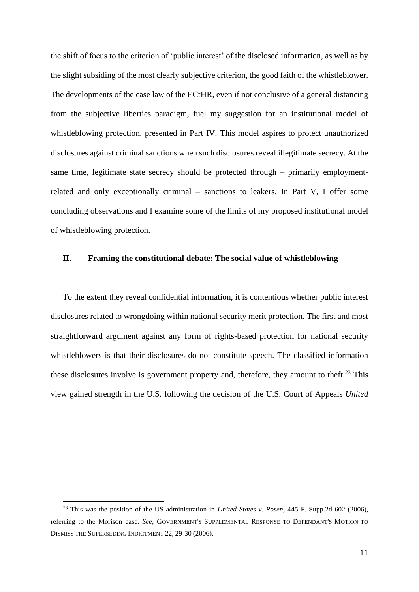the shift of focus to the criterion of 'public interest' of the disclosed information, as well as by the slight subsiding of the most clearly subjective criterion, the good faith of the whistleblower. The developments of the case law of the ECtHR, even if not conclusive of a general distancing from the subjective liberties paradigm, fuel my suggestion for an institutional model of whistleblowing protection, presented in Part IV. This model aspires to protect unauthorized disclosures against criminal sanctions when such disclosures reveal illegitimate secrecy. At the same time, legitimate state secrecy should be protected through – primarily employmentrelated and only exceptionally criminal – sanctions to leakers. In Part V, I offer some concluding observations and I examine some of the limits of my proposed institutional model of whistleblowing protection.

## <span id="page-10-0"></span>**II. Framing the constitutional debate: The social value of whistleblowing**

To the extent they reveal confidential information, it is contentious whether public interest disclosures related to wrongdoing within national security merit protection. The first and most straightforward argument against any form of rights-based protection for national security whistleblowers is that their disclosures do not constitute speech. The classified information these disclosures involve is government property and, therefore, they amount to theft.<sup>23</sup> This view gained strength in the U.S. following the decision of the U.S. Court of Appeals *United* 

<sup>23</sup> This was the position of the US administration in *United States v. Rosen,* 445 F. Supp.2d 602 (2006), referring to the Morison case. *See*, GOVERNMENT'S SUPPLEMENTAL RESPONSE TO DEFENDANT'S MOTION TO DISMISS THE SUPERSEDING INDICTMENT 22, 29-30 (2006).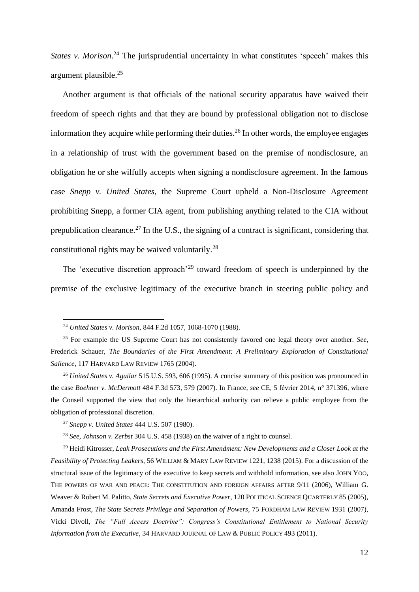*States v. Morison*. <sup>24</sup> Τhe jurisprudential uncertainty in what constitutes 'speech' makes this argument plausible. 25

Another argument is that officials of the national security apparatus have waived their freedom of speech rights and that they are bound by professional obligation not to disclose information they acquire while performing their duties.<sup>26</sup> In other words, the employee engages in a relationship of trust with the government based on the premise of nondisclosure, an obligation he or she wilfully accepts when signing a nondisclosure agreement. In the famous case *Snepp v. United States*, the Supreme Court upheld a Non-Disclosure Agreement prohibiting Snepp, a former CIA agent, from publishing anything related to the CIA without prepublication clearance.<sup>27</sup> In the U.S., the signing of a contract is significant, considering that constitutional rights may be waived voluntarily.<sup>28</sup>

The 'executive discretion approach'<sup>29</sup> toward freedom of speech is underpinned by the premise of the exclusive legitimacy of the executive branch in steering public policy and

<sup>28</sup> *See, Johnson v. Zerbst* 304 U.S. 458 (1938) on the waiver of a right to counsel.

<sup>29</sup> Heidi Kitrosser, *Leak Prosecutions and the First Amendment: New Developments and a Closer Look at the Feasibility of Protecting Leakers*, 56 WILLIAM & MARY LAW REVIEW 1221, 1238 (2015). For a discussion of the structural issue of the legitimacy of the executive to keep secrets and withhold information, see also JOHN YOO, THE POWERS OF WAR AND PEACE: THE CONSTITUTION AND FOREIGN AFFAIRS AFTER 9/11 (2006), William G. Weaver & Robert M. Palitto, *State Secrets and Executive Power*, 120 POLITICAL SCIENCE QUARTERLY 85 (2005), Amanda Frost, *The State Secrets Privilege and Separation of Powers*, 75 FORDHAM LAW REVIEW 1931 (2007), Vicki Divoll, *The "Full Access Doctrine": Congress's Constitutional Entitlement to National Security Information from the Executive*, 34 HARVARD JOURNAL OF LAW & PUBLIC POLICY 493 (2011).

<sup>24</sup> *United States v. Morison,* 844 F.2d 1057, 1068-1070 (1988).

<sup>25</sup> For example the US Supreme Court has not consistently favored one legal theory over another. *See*, Frederick Schauer, *The Boundaries of the First Amendment: A Preliminary Exploration of Constitutional Salience*, 117 HARVARD LAW REVIEW 1765 (2004).

<sup>26</sup> *United States v. Aguilar* 515 U.S. 593, 606 (1995). A concise summary of this position was pronounced in the case *Boehner v. McDermott* 484 F.3d 573, 579 (2007). In France, *see* CE, 5 février 2014, n° 371396, where the Conseil supported the view that only the hierarchical authority can relieve a public employee from the obligation of professional discretion.

<sup>27</sup> *Snepp v. United States* 444 U.S. 507 (1980).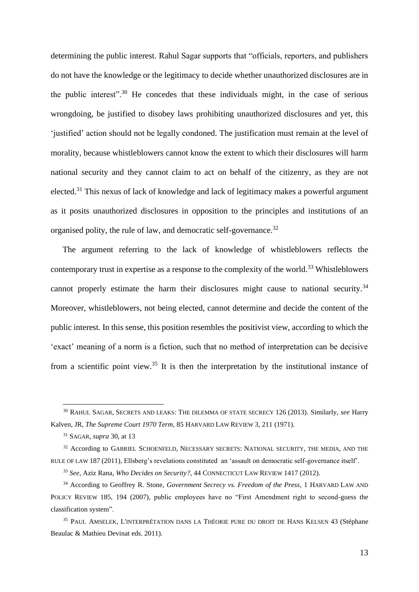determining the public interest. Rahul Sagar supports that "officials, reporters, and publishers do not have the knowledge or the legitimacy to decide whether unauthorized disclosures are in the public interest".<sup>30</sup> He concedes that these individuals might, in the case of serious wrongdoing, be justified to disobey laws prohibiting unauthorized disclosures and yet, this 'justified' action should not be legally condoned. The justification must remain at the level of morality, because whistleblowers cannot know the extent to which their disclosures will harm national security and they cannot claim to act on behalf of the citizenry, as they are not elected.<sup>31</sup> This nexus of lack of knowledge and lack of legitimacy makes a powerful argument as it posits unauthorized disclosures in opposition to the principles and institutions of an organised polity, the rule of law, and democratic self-governance.<sup>32</sup>

The argument referring to the lack of knowledge of whistleblowers reflects the contemporary trust in expertise as a response to the complexity of the world.<sup>33</sup> Whistleblowers cannot properly estimate the harm their disclosures might cause to national security.<sup>34</sup> Moreover, whistleblowers, not being elected, cannot determine and decide the content of the public interest. In this sense, this position resembles the positivist view, according to which the 'exact' meaning of a norm is a fiction, such that no method of interpretation can be decisive from a scientific point view.<sup>35</sup> It is then the interpretation by the institutional instance of

<sup>30</sup> RAHUL SAGAR, SECRETS AND LEAKS: THE DILEMMA OF STATE SECRECY 126 (2013). Similarly, *see* Harry Kalven, JR, *The Supreme Court 1970 Term*, 85 HARVARD LAW REVIEW 3, 211 (1971).

<sup>31</sup> SAGAR, *supra* 30, at 13

<sup>&</sup>lt;sup>32</sup> According to GABRIEL SCHOENFELD, NECESSARY SECRETS: NATIONAL SECURITY, THE MEDIA, AND THE RULE OF LAW 187 (2011), Ellsberg's revelations constituted an 'assault on democratic self-governance itself'.

<sup>33</sup> *See*, Aziz Rana, *Who Decides on Security?*, 44 CONNECTICUT LAW REVIEW 1417 (2012).

<sup>&</sup>lt;sup>34</sup> According to Geoffrey R. Stone, *Government Secrecy vs. Freedom of the Press*, 1 HARVARD LAW AND POLICY REVIEW 185, 194 (2007), public employees have no "First Amendment right to second-guess the classification system".

<sup>35</sup> PAUL AMSELEK, L'INTERPRÉTATION DANS LA THÉORIE PURE DU DROIT DE HANS KELSEN 43 (Stéphane Beaulac & Mathieu Devinat eds. 2011).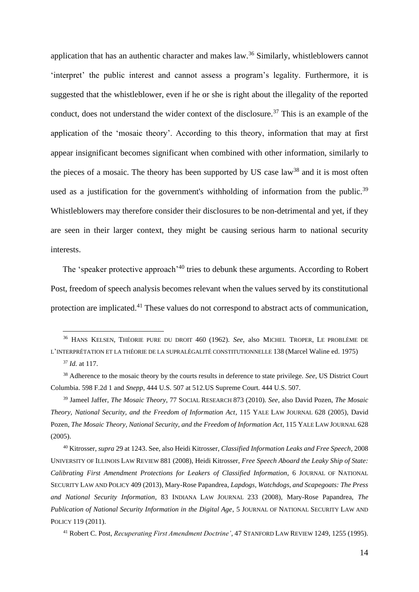application that has an authentic character and makes law.<sup>36</sup> Similarly, whistleblowers cannot 'interpret' the public interest and cannot assess a program's legality. Furthermore, it is suggested that the whistleblower, even if he or she is right about the illegality of the reported conduct, does not understand the wider context of the disclosure.<sup>37</sup> This is an example of the application of the 'mosaic theory'. According to this theory, information that may at first appear insignificant becomes significant when combined with other information, similarly to the pieces of a mosaic. The theory has been supported by US case law<sup>38</sup> and it is most often used as a justification for the government's withholding of information from the public.<sup>39</sup> Whistleblowers may therefore consider their disclosures to be non-detrimental and yet, if they are seen in their larger context, they might be causing serious harm to national security interests.

The 'speaker protective approach'<sup>40</sup> tries to debunk these arguments. According to Robert Post, freedom of speech analysis becomes relevant when the values served by its constitutional protection are implicated.<sup>41</sup> These values do not correspond to abstract acts of communication,

<sup>36</sup> HANS KELSEN, THÉORIE PURE DU DROIT 460 (1962). *See*, also MICHEL TROPER, LE PROBLÈME DE L'INTERPRÉTATION ET LA THÉORIE DE LA SUPRALÉGALITÉ CONSTITUTIONNELLE 138 (Marcel Waline ed. 1975)

<sup>37</sup> *Id.* at 117.

<sup>38</sup> Adherence to the mosaic theory by the courts results in deference to state privilege. *See*, US District Court Columbia. 598 F.2d 1 and *Snepp*, 444 U.S. 507 at 512.US Supreme Court. 444 U.S. 507.

<sup>39</sup> Jameel Jaffer, *The Mosaic Theory*, 77 SOCIAL RESEARCH 873 (2010). *See*, also David Pozen, *The Mosaic Theory, National Security, and the Freedom of Information Act*, 115 YALE LAW JOURNAL 628 (2005), David Pozen, *The Mosaic Theory, National Security, and the Freedom of Information Act*, 115 YALE LAW JOURNAL 628 (2005).

<sup>40</sup> Kitrosser, *supra* 29 at 1243. See, also Heidi Kitrosser, *Classified Information Leaks and Free Speech*, 2008 UNIVERSITY OF ILLINOIS LAW REVIEW 881 (2008), Heidi Kitrosser, *Free Speech Aboard the Leaky Ship of State: Calibrating First Amendment Protections for Leakers of Classified Information*, 6 JOURNAL OF NATIONAL SECURITY LAW AND POLICY 409 (2013), Mary-Rose Papandrea, *Lapdogs, Watchdogs, and Scapegoats: The Press and National Security Information*, 83 INDIANA LAW JOURNAL 233 (2008), Mary-Rose Papandrea, *The Publication of National Security Information in the Digital Age*, 5 JOURNAL OF NATIONAL SECURITY LAW AND POLICY 119 (2011).

<sup>41</sup> Robert C. Post, *Recuperating First Amendment Doctrine'*, 47 STANFORD LAW REVIEW 1249, 1255 (1995).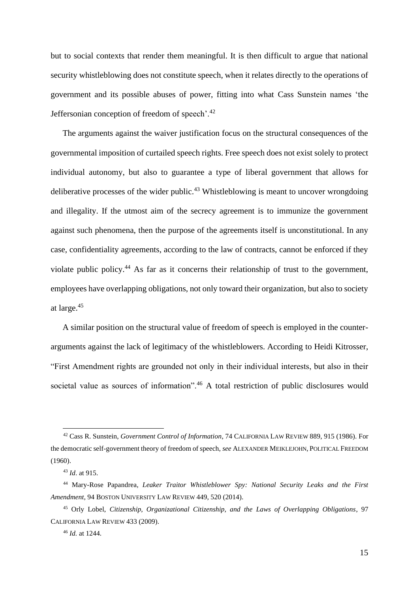but to social contexts that render them meaningful. It is then difficult to argue that national security whistleblowing does not constitute speech, when it relates directly to the operations of government and its possible abuses of power, fitting into what Cass Sunstein names 'the Jeffersonian conception of freedom of speech'.<sup>42</sup>

The arguments against the waiver justification focus on the structural consequences of the governmental imposition of curtailed speech rights. Free speech does not exist solely to protect individual autonomy, but also to guarantee a type of liberal government that allows for deliberative processes of the wider public.<sup>43</sup> Whistleblowing is meant to uncover wrongdoing and illegality. If the utmost aim of the secrecy agreement is to immunize the government against such phenomena, then the purpose of the agreements itself is unconstitutional. In any case, confidentiality agreements, according to the law of contracts, cannot be enforced if they violate public policy.<sup>44</sup> As far as it concerns their relationship of trust to the government, employees have overlapping obligations, not only toward their organization, but also to society at large.<sup>45</sup>

A similar position on the structural value of freedom of speech is employed in the counterarguments against the lack of legitimacy of the whistleblowers. According to Heidi Kitrosser, "First Amendment rights are grounded not only in their individual interests, but also in their societal value as sources of information".<sup>46</sup> A total restriction of public disclosures would

<sup>42</sup> Cass R. Sunstein, *Government Control of Information*, 74 CALIFORNIA LAW REVIEW 889, 915 (1986). For the democratic self-government theory of freedom of speech, *see* ALEXANDER MEIKLEJOHN, POLITICAL FREEDOM (1960).

<sup>43</sup> *Id*. at 915.

<sup>44</sup> Mary-Rose Papandrea, *Leaker Traitor Whistleblower Spy: National Security Leaks and the First Amendment*, 94 BOSTON UNIVERSITY LAW REVIEW 449, 520 (2014).

<sup>45</sup> Orly Lobel, *Citizenship, Organizational Citizenship, and the Laws of Overlapping Obligations*, 97 CALIFORNIA LAW REVIEW 433 (2009).

<sup>46</sup> *Id.* at 1244.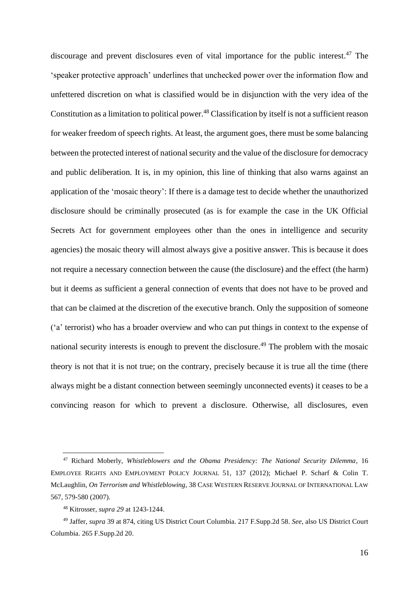discourage and prevent disclosures even of vital importance for the public interest. <sup>47</sup> The 'speaker protective approach' underlines that unchecked power over the information flow and unfettered discretion on what is classified would be in disjunction with the very idea of the Constitution as a limitation to political power.<sup>48</sup> Classification by itself is not a sufficient reason for weaker freedom of speech rights. At least, the argument goes, there must be some balancing between the protected interest of national security and the value of the disclosure for democracy and public deliberation. It is, in my opinion, this line of thinking that also warns against an application of the 'mosaic theory': If there is a damage test to decide whether the unauthorized disclosure should be criminally prosecuted (as is for example the case in the UK Official Secrets Act for government employees other than the ones in intelligence and security agencies) the mosaic theory will almost always give a positive answer. This is because it does not require a necessary connection between the cause (the disclosure) and the effect (the harm) but it deems as sufficient a general connection of events that does not have to be proved and that can be claimed at the discretion of the executive branch. Only the supposition of someone ('a' terrorist) who has a broader overview and who can put things in context to the expense of national security interests is enough to prevent the disclosure.<sup>49</sup> The problem with the mosaic theory is not that it is not true; on the contrary, precisely because it is true all the time (there always might be a distant connection between seemingly unconnected events) it ceases to be a convincing reason for which to prevent a disclosure. Otherwise, all disclosures, even

<sup>47</sup> Richard Moberly, *Whistleblowers and the Obama Presidency: The National Security Dilemma*, 16 EMPLOYEE RIGHTS AND EMPLOYMENT POLICY JOURNAL 51, 137 (2012); Michael P. Scharf & Colin T. McLaughlin, *On Terrorism and Whistleblowing*, 38 CASE WESTERN RESERVE JOURNAL OF INTERNATIONAL LAW 567, 579-580 (2007).

<sup>48</sup> Kitrosser, *supra 29* at 1243-1244.

<sup>49</sup> Jaffer, *supra* 39 at 874, citing US District Court Columbia. 217 F.Supp.2d 58. *See*, also US District Court Columbia. 265 F.Supp.2d 20.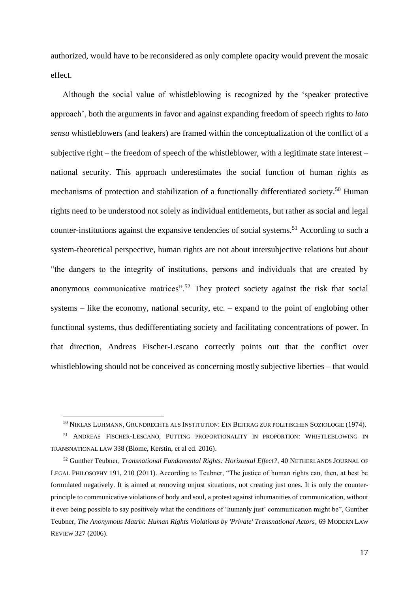authorized, would have to be reconsidered as only complete opacity would prevent the mosaic effect.

Although the social value of whistleblowing is recognized by the 'speaker protective approach', both the arguments in favor and against expanding freedom of speech rights to *lato sensu* whistleblowers (and leakers) are framed within the conceptualization of the conflict of a subjective right – the freedom of speech of the whistleblower, with a legitimate state interest – national security. This approach underestimates the social function of human rights as mechanisms of protection and stabilization of a functionally differentiated society.<sup>50</sup> Human rights need to be understood not solely as individual entitlements, but rather as social and legal counter-institutions against the expansive tendencies of social systems.<sup>51</sup> According to such a system-theoretical perspective, human rights are not about intersubjective relations but about "the dangers to the integrity of institutions, persons and individuals that are created by anonymous communicative matrices".<sup>52</sup> They protect society against the risk that social systems – like the economy, national security, etc. – expand to the point of englobing other functional systems, thus dedifferentiating society and facilitating concentrations of power. In that direction, Andreas Fischer-Lescano correctly points out that the conflict over whistleblowing should not be conceived as concerning mostly subjective liberties – that would

<sup>50</sup> NIKLAS LUHMANN, GRUNDRECHTE ALS INSTITUTION: EIN BEITRAG ZUR POLITISCHEN SOZIOLOGIE (1974).

<sup>51</sup> ANDREAS FISCHER-LESCANO, PUTTING PROPORTIONALITY IN PROPORTION: WHISTLEBLOWING IN TRANSNATIONAL LAW 338 (Blome, Kerstin, et al ed. 2016).

<sup>52</sup> Gunther Teubner, *Transnational Fundamental Rights: Horizontal Effect?*, 40 NETHERLANDS JOURNAL OF LEGAL PHILOSOPHY 191, 210 (2011). According to Teubner, "The justice of human rights can, then, at best be formulated negatively. It is aimed at removing unjust situations, not creating just ones. It is only the counterprinciple to communicative violations of body and soul, a protest against inhumanities of communication, without it ever being possible to say positively what the conditions of 'humanly just' communication might be", Gunther Teubner, *The Anonymous Matrix: Human Rights Violations by 'Private' Transnational Actors*, 69 MODERN LAW REVIEW 327 (2006).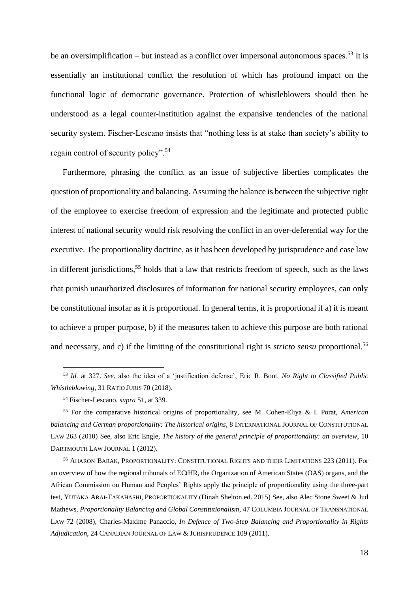be an oversimplification – but instead as a conflict over impersonal autonomous spaces.<sup>53</sup> It is essentially an institutional conflict the resolution of which has profound impact on the functional logic of democratic governance. Protection of whistleblowers should then be understood as a legal counter-institution against the expansive tendencies of the national security system. Fischer-Lescano insists that "nothing less is at stake than society's ability to regain control of security policy".<sup>54</sup>

Furthermore, phrasing the conflict as an issue of subjective liberties complicates the question of proportionality and balancing. Assuming the balance is between the subjective right of the employee to exercise freedom of expression and the legitimate and protected public interest of national security would risk resolving the conflict in an over-deferential way for the executive. The proportionality doctrine, as it has been developed by jurisprudence and case law in different jurisdictions, <sup>55</sup> holds that a law that restricts freedom of speech, such as the laws that punish unauthorized disclosures of information for national security employees, can only be constitutional insofar as it is proportional. In general terms, it is proportional if a) it is meant to achieve a proper purpose, b) if the measures taken to achieve this purpose are both rational and necessary, and c) if the limiting of the constitutional right is *stricto sensu* proportional.<sup>56</sup>

<sup>53</sup> *Id.* at 327. *See*, also the idea of a 'justification defense', Eric R. Boot, *No Right to Classified Public Whistleblowing*, 31 RATIO JURIS 70 (2018).

<sup>54</sup> Fischer-Lescano, *supra* 51, at 339.

<sup>55</sup> For the comparative historical origins of proportionality, see M. Cohen-Eliya & I. Porat, *American balancing and German proportionality: The historical origins*, 8 INTERNATIONAL JOURNAL OF CONSTITUTIONAL LAW 263 (2010) See, also Eric Engle, *The history of the general principle of proportionality: an overview*, 10 DARTMOUTH LAW JOURNAL 1 (2012).

<sup>56</sup> AHARON BARAK, PROPORTIONALITY: CONSTITUTIONAL RIGHTS AND THEIR LIMITATIONS 223 (2011). For an overview of how the regional tribunals of ECtHR, the Organization of American States (OAS) organs, and the African Commission on Human and Peoples' Rights apply the principle of proportionality using the three-part test, YUTAKA ARAI-TAKAHASHI, PROPORTIONALITY (Dinah Shelton ed. 2015) See, also Alec Stone Sweet & Jud Mathews, *Proportionality Balancing and Global Constitutionalism*, 47 COLUMBIA JOURNAL OF TRANSNATIONAL LAW 72 (2008), Charles-Maxime Panaccio, *In Defence of Two-Step Balancing and Proportionality in Rights Adjudication*, 24 CANADIAN JOURNAL OF LAW & JURISPRUDENCE 109 (2011).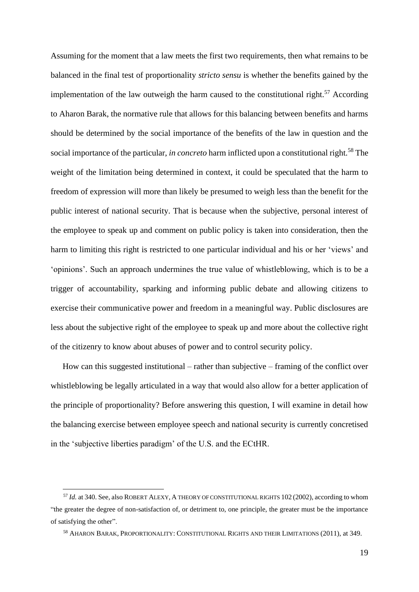Assuming for the moment that a law meets the first two requirements, then what remains to be balanced in the final test of proportionality *stricto sensu* is whether the benefits gained by the implementation of the law outweigh the harm caused to the constitutional right.<sup>57</sup> According to Aharon Barak, the normative rule that allows for this balancing between benefits and harms should be determined by the social importance of the benefits of the law in question and the social importance of the particular, *in concreto* harm inflicted upon a constitutional right.<sup>58</sup> The weight of the limitation being determined in context, it could be speculated that the harm to freedom of expression will more than likely be presumed to weigh less than the benefit for the public interest of national security. That is because when the subjective, personal interest of the employee to speak up and comment on public policy is taken into consideration, then the harm to limiting this right is restricted to one particular individual and his or her 'views' and 'opinions'. Such an approach undermines the true value of whistleblowing, which is to be a trigger of accountability, sparking and informing public debate and allowing citizens to exercise their communicative power and freedom in a meaningful way. Public disclosures are less about the subjective right of the employee to speak up and more about the collective right of the citizenry to know about abuses of power and to control security policy.

How can this suggested institutional – rather than subjective – framing of the conflict over whistleblowing be legally articulated in a way that would also allow for a better application of the principle of proportionality? Before answering this question, I will examine in detail how the balancing exercise between employee speech and national security is currently concretised in the 'subjective liberties paradigm' of the U.S. and the ECtHR.

<sup>57</sup> *Id.* at 340. See, also ROBERT ALEXY, A THEORY OF CONSTITUTIONAL RIGHTS 102 (2002), according to whom "the greater the degree of non-satisfaction of, or detriment to, one principle, the greater must be the importance of satisfying the other".

<sup>58</sup> AHARON BARAK, PROPORTIONALITY: CONSTITUTIONAL RIGHTS AND THEIR LIMITATIONS (2011), at 349.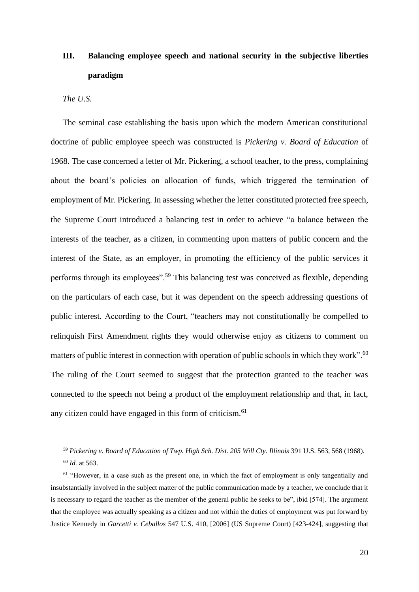# <span id="page-19-0"></span>**III. Balancing employee speech and national security in the subjective liberties paradigm**

#### <span id="page-19-1"></span>*The U.S.*

The seminal case establishing the basis upon which the modern American constitutional doctrine of public employee speech was constructed is *Pickering v. Board of Education* of 1968. The case concerned a letter of Mr. Pickering, a school teacher, to the press, complaining about the board's policies on allocation of funds, which triggered the termination of employment of Mr. Pickering. In assessing whether the letter constituted protected free speech, the Supreme Court introduced a balancing test in order to achieve "a balance between the interests of the teacher, as a citizen, in commenting upon matters of public concern and the interest of the State, as an employer, in promoting the efficiency of the public services it performs through its employees".<sup>59</sup> This balancing test was conceived as flexible, depending on the particulars of each case, but it was dependent on the speech addressing questions of public interest. According to the Court, "teachers may not constitutionally be compelled to relinquish First Amendment rights they would otherwise enjoy as citizens to comment on matters of public interest in connection with operation of public schools in which they work".<sup>60</sup> The ruling of the Court seemed to suggest that the protection granted to the teacher was connected to the speech not being a product of the employment relationship and that, in fact, any citizen could have engaged in this form of criticism.<sup>61</sup>

<sup>59</sup> *Pickering v. Board of Education of Twp. High Sch. Dist. 205 Will Cty. Illinois* 391 U.S. 563, 568 (1968). <sup>60</sup> *Id.* at 563.

 $61$  "However, in a case such as the present one, in which the fact of employment is only tangentially and insubstantially involved in the subject matter of the public communication made by a teacher, we conclude that it is necessary to regard the teacher as the member of the general public he seeks to be", ibid [574]. The argument that the employee was actually speaking as a citizen and not within the duties of employment was put forward by Justice Kennedy in *Garcetti v. Ceballos* 547 U.S. 410, [2006] (US Supreme Court) [423-424], suggesting that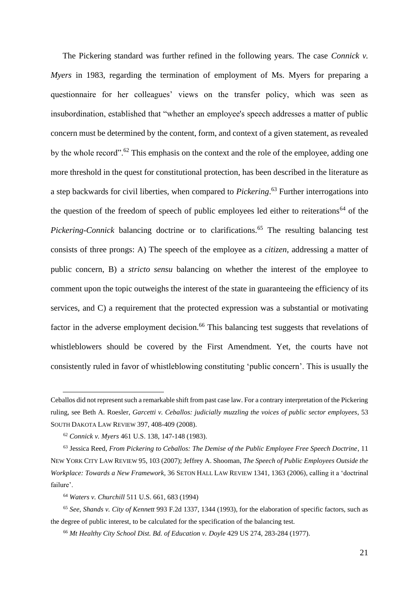The Pickering standard was further refined in the following years. The case *Connick v. Myers* in 1983, regarding the termination of employment of Ms. Myers for preparing a questionnaire for her colleagues' views on the transfer policy, which was seen as insubordination, established that "whether an employee's speech addresses a matter of public concern must be determined by the content, form, and context of a given statement, as revealed by the whole record".<sup>62</sup> This emphasis on the context and the role of the employee, adding one more threshold in the quest for constitutional protection, has been described in the literature as a step backwards for civil liberties, when compared to *Pickering*. <sup>63</sup> Further interrogations into the question of the freedom of speech of public employees led either to reiterations<sup>64</sup> of the *Pickering-Connick* balancing doctrine or to clarifications.<sup>65</sup> The resulting balancing test consists of three prongs: A) The speech of the employee as a *citizen*, addressing a matter of public concern, B) a *stricto sensu* balancing on whether the interest of the employee to comment upon the topic outweighs the interest of the state in guaranteeing the efficiency of its services, and C) a requirement that the protected expression was a substantial or motivating factor in the adverse employment decision.<sup>66</sup> This balancing test suggests that revelations of whistleblowers should be covered by the First Amendment. Yet, the courts have not consistently ruled in favor of whistleblowing constituting 'public concern'. This is usually the

Ceballos did not represent such a remarkable shift from past case law. For a contrary interpretation of the Pickering ruling, see Beth A. Roesler, *Garcetti v. Ceballos: judicially muzzling the voices of public sector employees*, 53 SOUTH DAKOTA LAW REVIEW 397, 408-409 (2008).

<sup>62</sup> *Connick v. Myers* 461 U.S. 138, 147-148 (1983).

<sup>63</sup> Jessica Reed, *From Pickering to Ceballos: The Demise of the Public Employee Free Speech Doctrine*, 11 NEW YORK CITY LAW REVIEW 95, 103 (2007); Jeffrey A. Shooman, *The Speech of Public Employees Outside the Workplace: Towards a New Framework*, 36 SETON HALL LAW REVIEW 1341, 1363 (2006), calling it a 'doctrinal failure'.

<sup>64</sup> *Waters v. Churchill* 511 U.S. 661, 683 (1994)

<sup>65</sup> *See*, *Shands v. City of Kennett* 993 F.2d 1337, 1344 (1993), for the elaboration of specific factors, such as the degree of public interest, to be calculated for the specification of the balancing test.

<sup>66</sup> *Mt Healthy City School Dist. Bd. of Education v. Doyle* 429 US 274, 283-284 (1977).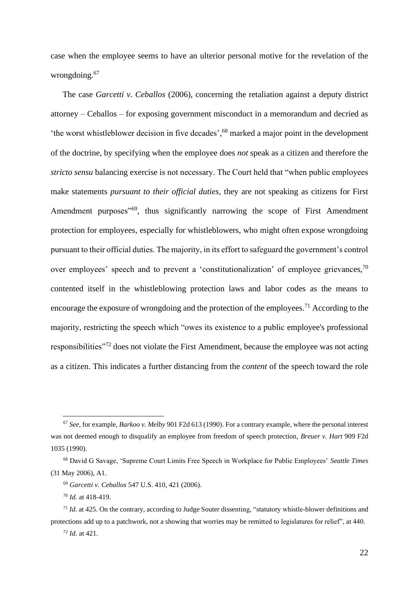case when the employee seems to have an ulterior personal motive for the revelation of the wrongdoing. 67

The case *Garcetti v. Ceballos* (2006), concerning the retaliation against a deputy district attorney – Ceballos – for exposing government misconduct in a memorandum and decried as 'the worst whistleblower decision in five decades', <sup>68</sup> marked a major point in the development of the doctrine, by specifying when the employee does *not* speak as a citizen and therefore the *stricto sensu* balancing exercise is not necessary. The Court held that "when public employees make statements *pursuant to their official duties*, they are not speaking as citizens for First Amendment purposes<sup>"69</sup>, thus significantly narrowing the scope of First Amendment protection for employees, especially for whistleblowers, who might often expose wrongdoing pursuant to their official duties. The majority, in its effort to safeguard the government's control over employees' speech and to prevent a 'constitutionalization' of employee grievances,<sup>70</sup> contented itself in the whistleblowing protection laws and labor codes as the means to encourage the exposure of wrongdoing and the protection of the employees.<sup>71</sup> According to the majority, restricting the speech which "owes its existence to a public employee's professional responsibilities"<sup>72</sup> does not violate the First Amendment, because the employee was not acting as a citizen. This indicates a further distancing from the *content* of the speech toward the role

<sup>67</sup> *See,* for example, *Barkoo v. Melby* 901 F2d 613 (1990). For a contrary example, where the personal interest was not deemed enough to disqualify an employee from freedom of speech protection, *Breuer v. Hart* 909 F2d 1035 (1990).

<sup>68</sup> David G Savage, 'Supreme Court Limits Free Speech in Workplace for Public Employees' *Seattle Times* (31 May 2006), A1.

<sup>69</sup> *Garcetti v. Ceballos* 547 U.S. 410, 421 (2006).

<sup>70</sup> *Id.* at 418-419.

<sup>71</sup> *Id.* at 425. On the contrary, according to Judge Souter dissenting, "statutory whistle-blower definitions and protections add up to a patchwork, not a showing that worries may be remitted to legislatures for relief", at 440.

<sup>72</sup> *Id.* at 421.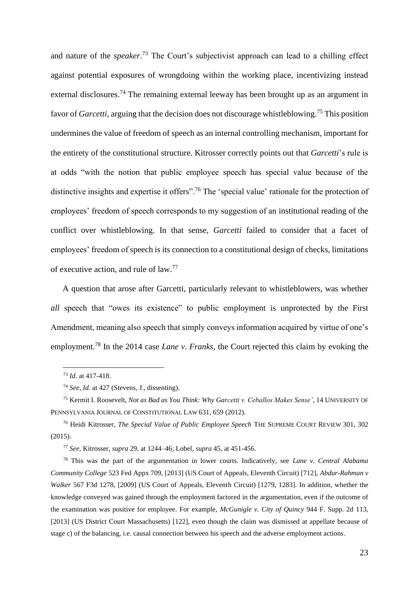and nature of the *speaker*. <sup>73</sup> The Court's subjectivist approach can lead to a chilling effect against potential exposures of wrongdoing within the working place, incentivizing instead external disclosures.<sup>74</sup> The remaining external leeway has been brought up as an argument in favor of *Garcetti*, arguing that the decision does not discourage whistleblowing.<sup>75</sup> This position undermines the value of freedom of speech as an internal controlling mechanism, important for the entirety of the constitutional structure. Kitrosser correctly points out that *Garcetti*'s rule is at odds "with the notion that public employee speech has special value because of the distinctive insights and expertise it offers".<sup>76</sup> The 'special value' rationale for the protection of employees' freedom of speech corresponds to my suggestion of an institutional reading of the conflict over whistleblowing. In that sense, *Garcetti* failed to consider that a facet of employees' freedom of speech is its connection to a constitutional design of checks, limitations of executive action, and rule of law.<sup>77</sup>

A question that arose after Garcetti, particularly relevant to whistleblowers, was whether *all* speech that "owes its existence" to public employment is unprotected by the First Amendment, meaning also speech that simply conveys information acquired by virtue of one's employment.<sup>78</sup> In the 2014 case *Lane v. Franks,* the Court rejected this claim by evoking the

<sup>73</sup> *Id.* at 417-418.

<sup>74</sup> *See*, *Id.* at 427 (Stevens, J., dissenting).

<sup>75</sup> Kermit I. Roosevelt, *Not as Bad as You Think: Why Garcetti v. Ceballos Makes Sense'*, 14 UNIVERSITY OF PENNSYLVANIA JOURNAL OF CONSTITUTIONAL LAW 631, 659 (2012).

<sup>76</sup> Heidi Kitrosser, *The Special Value of Public Employee Speech* THE SUPREME COURT REVIEW 301, 302 (2015).

<sup>77</sup> *See,* Kitrosser, *supra* 29, at 1244–46; Lobel, *supra* 45, at 451-456.

<sup>78</sup> This was the part of the argumentation in lower courts. Indicatively, see *Lane v. Central Alabama Community College* 523 Fed Appx 709, [2013] (US Court of Appeals, Eleventh Circuit) [712], *Abdur-Rahman v Walker* 567 F3d 1278, [2009] (US Court of Appeals, Eleventh Circuit) [1279, 1283]. In addition, whether the knowledge conveyed was gained through the employment factored in the argumentation, even if the outcome of the examination was positive for employee. For example, *McGunigle v. City of Quincy* 944 F. Supp. 2d 113, [2013] (US District Court Massachusetts) [122], even though the claim was dismissed at appellate because of stage c) of the balancing, i.e. causal connection between his speech and the adverse employment actions.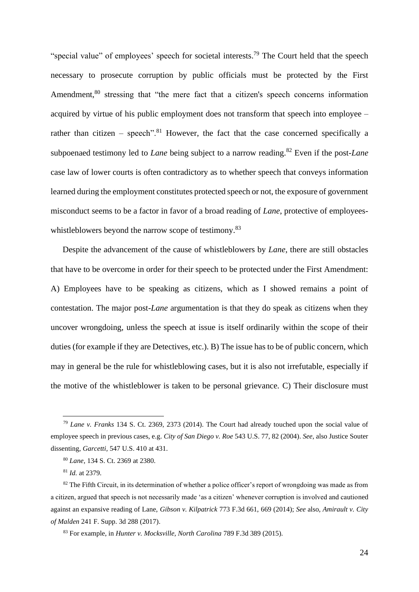"special value" of employees' speech for societal interests.<sup>79</sup> The Court held that the speech necessary to prosecute corruption by public officials must be protected by the First Amendment,<sup>80</sup> stressing that "the mere fact that a citizen's speech concerns information acquired by virtue of his public employment does not transform that speech into employee – rather than citizen – speech".<sup>81</sup> However, the fact that the case concerned specifically a subpoenaed testimony led to *Lane* being subject to a narrow reading.<sup>82</sup> Even if the post-*Lane* case law of lower courts is often contradictory as to whether speech that conveys information learned during the employment constitutes protected speech or not, the exposure of government misconduct seems to be a factor in favor of a broad reading of *Lane*, protective of employeeswhistleblowers beyond the narrow scope of testimony.<sup>83</sup>

Despite the advancement of the cause of whistleblowers by *Lane*, there are still obstacles that have to be overcome in order for their speech to be protected under the First Amendment: A) Employees have to be speaking as citizens, which as I showed remains a point of contestation. The major post-*Lane* argumentation is that they do speak as citizens when they uncover wrongdoing, unless the speech at issue is itself ordinarily within the scope of their duties (for example if they are Detectives, etc.). B) The issue has to be of public concern, which may in general be the rule for whistleblowing cases, but it is also not irrefutable, especially if the motive of the whistleblower is taken to be personal grievance. C) Their disclosure must

<sup>79</sup> *Lane v. Franks* 134 S. Ct. 2369, 2373 (2014). The Court had already touched upon the social value of employee speech in previous cases, e.g. *City of San Diego v. Roe* 543 U.S. 77, 82 (2004). *See*, also Justice Souter dissenting, *Garcetti,* 547 U.S. 410 at 431.

<sup>80</sup> *Lane,* 134 S. Ct. 2369 at 2380.

<sup>81</sup> *Id.* at 2379.

 $82$  The Fifth Circuit, in its determination of whether a police officer's report of wrongdoing was made as from a citizen, argued that speech is not necessarily made 'as a citizen' whenever corruption is involved and cautioned against an expansive reading of Lane, *Gibson v. Kilpatrick* 773 F.3d 661, 669 (2014); *See* also, *Amirault v. City of Malden* 241 F. Supp. 3d 288 (2017).

<sup>83</sup> For example, in *Hunter v. Mocksville, North Carolina* 789 F.3d 389 (2015).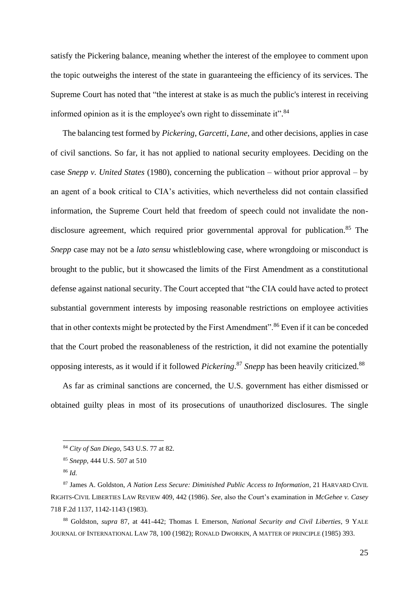satisfy the Pickering balance, meaning whether the interest of the employee to comment upon the topic outweighs the interest of the state in guaranteeing the efficiency of its services. The Supreme Court has noted that "the interest at stake is as much the public's interest in receiving informed opinion as it is the employee's own right to disseminate it".<sup>84</sup>

The balancing test formed by *Pickering*, *Garcetti*, *Lane*, and other decisions, applies in case of civil sanctions. So far, it has not applied to national security employees. Deciding on the case *Snepp v. United States* (1980), concerning the publication – without prior approval – by an agent of a book critical to CIA's activities, which nevertheless did not contain classified information, the Supreme Court held that freedom of speech could not invalidate the nondisclosure agreement, which required prior governmental approval for publication.<sup>85</sup> The *Snepp* case may not be a *lato sensu* whistleblowing case, where wrongdoing or misconduct is brought to the public, but it showcased the limits of the First Amendment as a constitutional defense against national security. The Court accepted that "the CIA could have acted to protect substantial government interests by imposing reasonable restrictions on employee activities that in other contexts might be protected by the First Amendment".<sup>86</sup> Even if it can be conceded that the Court probed the reasonableness of the restriction, it did not examine the potentially opposing interests, as it would if it followed *Pickering*. <sup>87</sup> *Snepp* has been heavily criticized.<sup>88</sup>

As far as criminal sanctions are concerned, the U.S. government has either dismissed or obtained guilty pleas in most of its prosecutions of unauthorized disclosures. The single

<sup>84</sup> *City of San Diego,* 543 U.S. 77 at 82.

<sup>85</sup> *Snepp,* 444 U.S. 507 at 510

<sup>86</sup> *Id.*

<sup>87</sup> James A. Goldston, *A Nation Less Secure: Diminished Public Access to Information*, 21 HARVARD CIVIL RIGHTS-CIVIL LIBERTIES LAW REVIEW 409, 442 (1986). *See*, also the Court's examination in *McGehee v. Casey* 718 F.2d 1137, 1142-1143 (1983).

<sup>88</sup> Goldston, *supra* 87, at 441-442; Thomas I. Emerson, *National Security and Civil Liberties*, 9 YALE JOURNAL OF INTERNATIONAL LAW 78, 100 (1982); RONALD DWORKIN, A MATTER OF PRINCIPLE (1985) 393.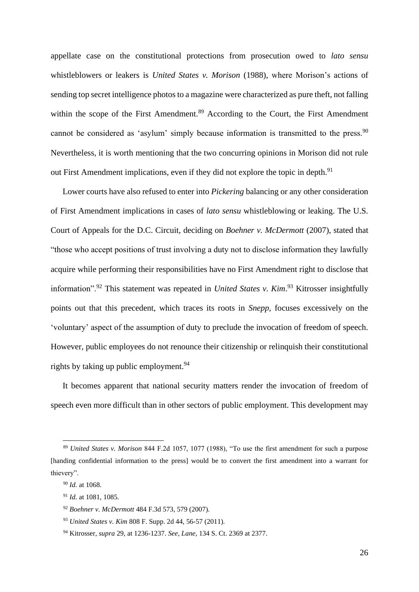appellate case on the constitutional protections from prosecution owed to *lato sensu* whistleblowers or leakers is *United States v. Morison* (1988), where Morison's actions of sending top secret intelligence photos to a magazine were characterized as pure theft, not falling within the scope of the First Amendment.<sup>89</sup> According to the Court, the First Amendment cannot be considered as 'asylum' simply because information is transmitted to the press. $90$ Nevertheless, it is worth mentioning that the two concurring opinions in Morison did not rule out First Amendment implications, even if they did not explore the topic in depth.<sup>91</sup>

Lower courts have also refused to enter into *Pickering* balancing or any other consideration of First Amendment implications in cases of *lato sensu* whistleblowing or leaking. The U.S. Court of Appeals for the D.C. Circuit, deciding on *Boehner v. McDermott* (2007), stated that "those who accept positions of trust involving a duty not to disclose information they lawfully acquire while performing their responsibilities have no First Amendment right to disclose that information".<sup>92</sup> This statement was repeated in *United States v. Kim*. <sup>93</sup> Kitrosser insightfully points out that this precedent, which traces its roots in *Snepp*, focuses excessively on the 'voluntary' aspect of the assumption of duty to preclude the invocation of freedom of speech. However, public employees do not renounce their citizenship or relinquish their constitutional rights by taking up public employment.<sup>94</sup>

It becomes apparent that national security matters render the invocation of freedom of speech even more difficult than in other sectors of public employment. This development may

<sup>89</sup> *United States v. Morison* 844 F.2d 1057, 1077 (1988), "To use the first amendment for such a purpose [handing confidential information to the press] would be to convert the first amendment into a warrant for thievery".

<sup>90</sup> *Id.* at 1068.

<sup>91</sup> *Id.* at 1081, 1085.

<sup>92</sup> *Boehner v. McDermott* 484 F.3d 573, 579 (2007).

<sup>93</sup> *United States v. Kim* 808 F. Supp. 2d 44, 56-57 (2011).

<sup>94</sup> Kitrosser, *supra* 29, at 1236-1237. *See, Lane,* 134 S. Ct. 2369 at 2377.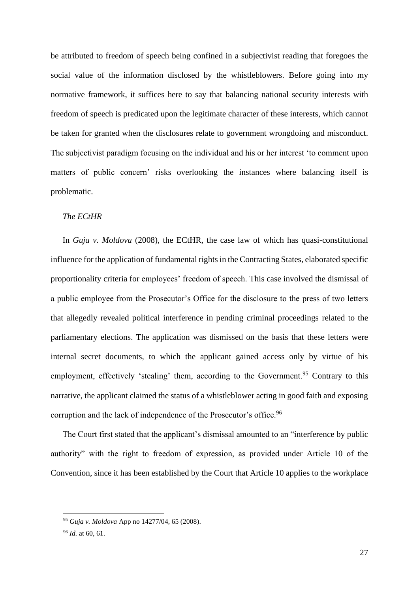be attributed to freedom of speech being confined in a subjectivist reading that foregoes the social value of the information disclosed by the whistleblowers. Before going into my normative framework, it suffices here to say that balancing national security interests with freedom of speech is predicated upon the legitimate character of these interests, which cannot be taken for granted when the disclosures relate to government wrongdoing and misconduct. The subjectivist paradigm focusing on the individual and his or her interest 'to comment upon matters of public concern' risks overlooking the instances where balancing itself is problematic.

#### <span id="page-26-0"></span>*The ECtHR*

In *Guja v. Moldova* (2008), the ECtHR, the case law of which has quasi-constitutional influence for the application of fundamental rights in the Contracting States, elaborated specific proportionality criteria for employees' freedom of speech. This case involved the dismissal of a public employee from the Prosecutor's Office for the disclosure to the press of two letters that allegedly revealed political interference in pending criminal proceedings related to the parliamentary elections. The application was dismissed on the basis that these letters were internal secret documents, to which the applicant gained access only by virtue of his employment, effectively 'stealing' them, according to the Government.<sup>95</sup> Contrary to this narrative, the applicant claimed the status of a whistleblower acting in good faith and exposing corruption and the lack of independence of the Prosecutor's office.<sup>96</sup>

The Court first stated that the applicant's dismissal amounted to an "interference by public authority" with the right to freedom of expression, as provided under Article 10 of the Convention, since it has been established by the Court that Article 10 applies to the workplace

<sup>95</sup> *Guja v. Moldova* App no 14277/04, 65 (2008).

<sup>96</sup> *Id.* at 60, 61.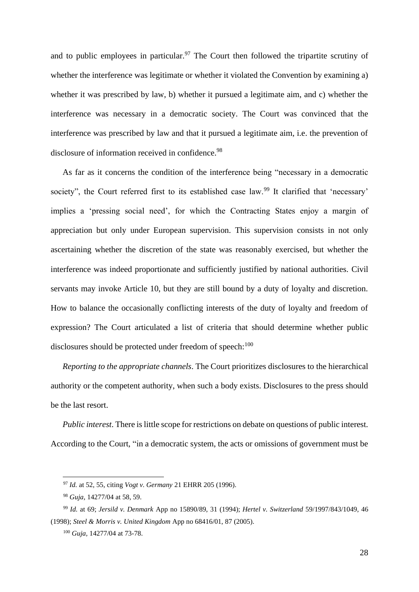and to public employees in particular.<sup>97</sup> The Court then followed the tripartite scrutiny of whether the interference was legitimate or whether it violated the Convention by examining a) whether it was prescribed by law, b) whether it pursued a legitimate aim, and c) whether the interference was necessary in a democratic society. The Court was convinced that the interference was prescribed by law and that it pursued a legitimate aim, i.e. the prevention of disclosure of information received in confidence.<sup>98</sup>

As far as it concerns the condition of the interference being "necessary in a democratic society", the Court referred first to its established case law.<sup>99</sup> It clarified that 'necessary' implies a 'pressing social need', for which the Contracting States enjoy a margin of appreciation but only under European supervision. This supervision consists in not only ascertaining whether the discretion of the state was reasonably exercised, but whether the interference was indeed proportionate and sufficiently justified by national authorities. Civil servants may invoke Article 10, but they are still bound by a duty of loyalty and discretion. How to balance the occasionally conflicting interests of the duty of loyalty and freedom of expression? The Court articulated a list of criteria that should determine whether public disclosures should be protected under freedom of speech: $100$ 

*Reporting to the appropriate channels*. The Court prioritizes disclosures to the hierarchical authority or the competent authority, when such a body exists. Disclosures to the press should be the last resort.

*Public interest*. There is little scope for restrictions on debate on questions of public interest. According to the Court, "in a democratic system, the acts or omissions of government must be

<sup>97</sup> *Id.* at 52, 55, citing *Vogt v. Germany* 21 EHRR 205 (1996).

<sup>98</sup> *Guja,* 14277/04 at 58, 59.

<sup>99</sup> *Id.* at 69; *Jersild v. Denmark* App no 15890/89, 31 (1994); *Hertel v. Switzerland* 59/1997/843/1049, 46 (1998); *Steel & Morris v. United Kingdom* App no 68416/01, 87 (2005).

<sup>100</sup> *Guja,* 14277/04 at 73-78.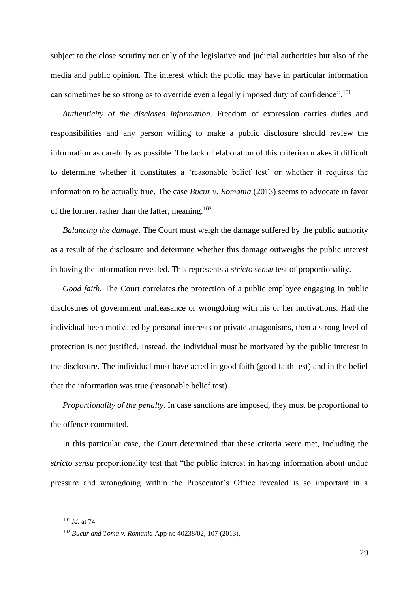subject to the close scrutiny not only of the legislative and judicial authorities but also of the media and public opinion. The interest which the public may have in particular information can sometimes be so strong as to override even a legally imposed duty of confidence".<sup>101</sup>

*Authenticity of the disclosed information*. Freedom of expression carries duties and responsibilities and any person willing to make a public disclosure should review the information as carefully as possible. The lack of elaboration of this criterion makes it difficult to determine whether it constitutes a 'reasonable belief test' or whether it requires the information to be actually true. The case *Bucur v. Romania* (2013) seems to advocate in favor of the former, rather than the latter, meaning. $102$ 

*Balancing the damage*. The Court must weigh the damage suffered by the public authority as a result of the disclosure and determine whether this damage outweighs the public interest in having the information revealed. This represents a *stricto sensu* test of proportionality.

*Good faith*. The Court correlates the protection of a public employee engaging in public disclosures of government malfeasance or wrongdoing with his or her motivations. Had the individual been motivated by personal interests or private antagonisms, then a strong level of protection is not justified. Instead, the individual must be motivated by the public interest in the disclosure. The individual must have acted in good faith (good faith test) and in the belief that the information was true (reasonable belief test).

*Proportionality of the penalty*. In case sanctions are imposed, they must be proportional to the offence committed.

In this particular case, the Court determined that these criteria were met, including the *stricto sensu* proportionality test that "the public interest in having information about undue pressure and wrongdoing within the Prosecutor's Office revealed is so important in a

<sup>101</sup> *Id.* at 74.

<sup>102</sup> *Bucur and Toma v. Romania* App no 40238/02, 107 (2013).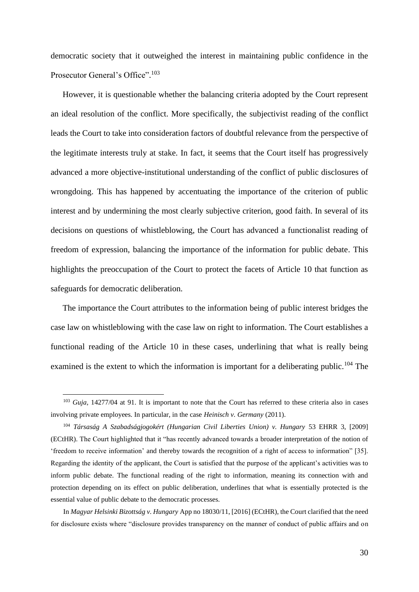democratic society that it outweighed the interest in maintaining public confidence in the Prosecutor General's Office".<sup>103</sup>

However, it is questionable whether the balancing criteria adopted by the Court represent an ideal resolution of the conflict. More specifically, the subjectivist reading of the conflict leads the Court to take into consideration factors of doubtful relevance from the perspective of the legitimate interests truly at stake. In fact, it seems that the Court itself has progressively advanced a more objective-institutional understanding of the conflict of public disclosures of wrongdoing. This has happened by accentuating the importance of the criterion of public interest and by undermining the most clearly subjective criterion, good faith. In several of its decisions on questions of whistleblowing, the Court has advanced a functionalist reading of freedom of expression, balancing the importance of the information for public debate. This highlights the preoccupation of the Court to protect the facets of Article 10 that function as safeguards for democratic deliberation.

The importance the Court attributes to the information being of public interest bridges the case law on whistleblowing with the case law on right to information. The Court establishes a functional reading of the Article 10 in these cases, underlining that what is really being examined is the extent to which the information is important for a deliberating public.<sup>104</sup> The

In *Magyar Helsinki Bizottság v. Hungary* App no 18030/11, [2016] (ECtHR), the Court clarified that the need for disclosure exists where "disclosure provides transparency on the manner of conduct of public affairs and on

<sup>103</sup> *Guja,* 14277/04 at 91. It is important to note that the Court has referred to these criteria also in cases involving private employees. In particular, in the case *Heinisch v. Germany* (2011).

<sup>104</sup> *Társaság A Szabadságjogokért (Hungarian Civil Liberties Union) v. Hungary* 53 EHRR 3, [2009] (ECtHR). The Court highlighted that it "has recently advanced towards a broader interpretation of the notion of 'freedom to receive information' and thereby towards the recognition of a right of access to information" [35]. Regarding the identity of the applicant, the Court is satisfied that the purpose of the applicant's activities was to inform public debate. The functional reading of the right to information, meaning its connection with and protection depending on its effect on public deliberation, underlines that what is essentially protected is the essential value of public debate to the democratic processes.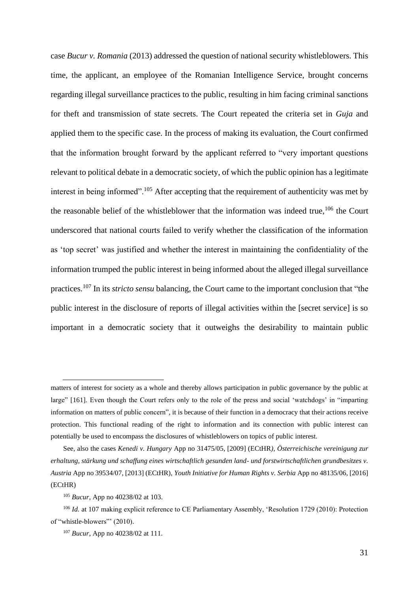case *Bucur v. Romania* (2013) addressed the question of national security whistleblowers. This time, the applicant, an employee of the Romanian Intelligence Service, brought concerns regarding illegal surveillance practices to the public, resulting in him facing criminal sanctions for theft and transmission of state secrets. The Court repeated the criteria set in *Guja* and applied them to the specific case. In the process of making its evaluation, the Court confirmed that the information brought forward by the applicant referred to "very important questions relevant to political debate in a democratic society, of which the public opinion has a legitimate interest in being informed".<sup>105</sup> After accepting that the requirement of authenticity was met by the reasonable belief of the whistleblower that the information was indeed true,  $106$  the Court underscored that national courts failed to verify whether the classification of the information as 'top secret' was justified and whether the interest in maintaining the confidentiality of the information trumped the public interest in being informed about the alleged illegal surveillance practices.<sup>107</sup> In its *stricto sensu* balancing, the Court came to the important conclusion that "the public interest in the disclosure of reports of illegal activities within the [secret service] is so important in a democratic society that it outweighs the desirability to maintain public

matters of interest for society as a whole and thereby allows participation in public governance by the public at large" [161]. Even though the Court refers only to the role of the press and social 'watchdogs' in "imparting information on matters of public concern", it is because of their function in a democracy that their actions receive protection. This functional reading of the right to information and its connection with public interest can potentially be used to encompass the disclosures of whistleblowers on topics of public interest.

See, also the cases *Kenedi v. Hungary* App no 31475/05, [2009] (ECtHR*), Österreichische vereinigung zur erhaltung, stärkung und schaffung eines wirtschaftlich gesunden land- und forstwirtschaftlichen grundbesitzes v. Austria* App no 39534/07, [2013] (ECtHR), *Youth Initiative for Human Rights v. Serbia* App no 48135/06, [2016] (ECtHR)

<sup>105</sup> *Bucur,* App no 40238/02 at 103.

<sup>&</sup>lt;sup>106</sup> *Id.* at 107 making explicit reference to CE Parliamentary Assembly, 'Resolution 1729 (2010): Protection of "whistle-blowers"' (2010).

<sup>107</sup> *Bucur,* App no 40238/02 at 111.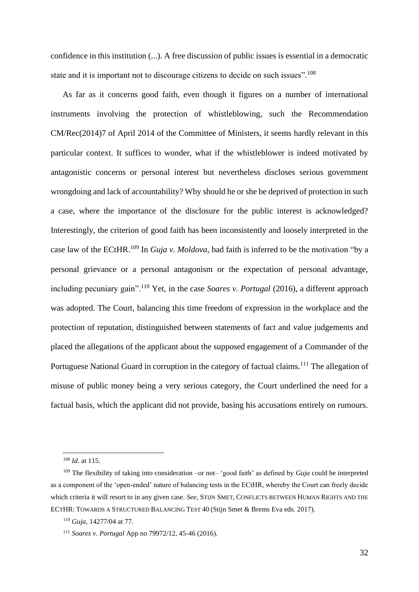confidence in this institution (...). A free discussion of public issues is essential in a democratic state and it is important not to discourage citizens to decide on such issues".<sup>108</sup>

As far as it concerns good faith, even though it figures on a number of international instruments involving the protection of whistleblowing, such the Recommendation CM/Rec(2014)7 of April 2014 of the Committee of Ministers, it seems hardly relevant in this particular context. It suffices to wonder, what if the whistleblower is indeed motivated by antagonistic concerns or personal interest but nevertheless discloses serious government wrongdoing and lack of accountability? Why should he or she be deprived of protection in such a case, where the importance of the disclosure for the public interest is acknowledged? Interestingly, the criterion of good faith has been inconsistently and loosely interpreted in the case law of the ECtHR.<sup>109</sup> In *Guja v. Moldova*, bad faith is inferred to be the motivation "by a personal grievance or a personal antagonism or the expectation of personal advantage, including pecuniary gain".<sup>110</sup> Yet, in the case *Soares v. Portugal* (2016), a different approach was adopted. The Court, balancing this time freedom of expression in the workplace and the protection of reputation, distinguished between statements of fact and value judgements and placed the allegations of the applicant about the supposed engagement of a Commander of the Portuguese National Guard in corruption in the category of factual claims.<sup>111</sup> The allegation of misuse of public money being a very serious category, the Court underlined the need for a factual basis, which the applicant did not provide, basing his accusations entirely on rumours.

<sup>108</sup> *Id.* at 115.

<sup>109</sup> The flexibility of taking into consideration –or not– 'good faith' as defined by *Guja* could be interpreted as a component of the 'open-ended' nature of balancing tests in the ECtHR, whereby the Court can freely decide which criteria it will resort to in any given case. *See*, STIJN SMET, CONFLICTS BETWEEN HUMAN RIGHTS AND THE ECTHR: TOWARDS A STRUCTURED BALANCING TEST 40 (Stijn Smet & Brems Eva eds. 2017).

<sup>110</sup> *Guja,* 14277/04 at 77.

<sup>111</sup> *Soares v. Portugal* App no 79972/12, 45-46 (2016).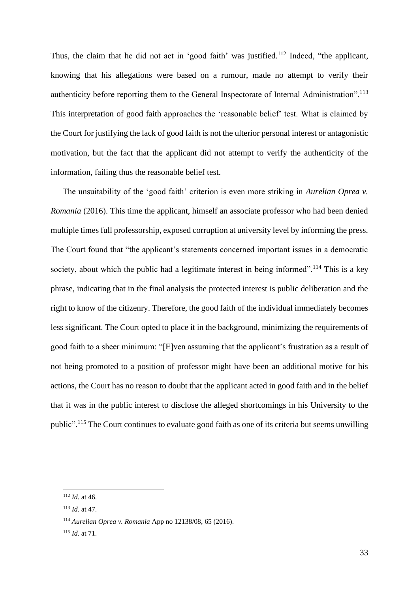Thus, the claim that he did not act in 'good faith' was justified.<sup>112</sup> Indeed, "the applicant, knowing that his allegations were based on a rumour, made no attempt to verify their authenticity before reporting them to the General Inspectorate of Internal Administration".<sup>113</sup> This interpretation of good faith approaches the 'reasonable belief' test. What is claimed by the Court for justifying the lack of good faith is not the ulterior personal interest or antagonistic motivation, but the fact that the applicant did not attempt to verify the authenticity of the information, failing thus the reasonable belief test.

The unsuitability of the 'good faith' criterion is even more striking in *Aurelian Oprea v. Romania* (2016). This time the applicant, himself an associate professor who had been denied multiple times full professorship, exposed corruption at university level by informing the press. The Court found that "the applicant's statements concerned important issues in a democratic society, about which the public had a legitimate interest in being informed".<sup>114</sup> This is a key phrase, indicating that in the final analysis the protected interest is public deliberation and the right to know of the citizenry. Therefore, the good faith of the individual immediately becomes less significant. The Court opted to place it in the background, minimizing the requirements of good faith to a sheer minimum: "[E]ven assuming that the applicant's frustration as a result of not being promoted to a position of professor might have been an additional motive for his actions, the Court has no reason to doubt that the applicant acted in good faith and in the belief that it was in the public interest to disclose the alleged shortcomings in his University to the public".<sup>115</sup> The Court continues to evaluate good faith as one of its criteria but seems unwilling

<sup>112</sup> *Id.* at 46.

<sup>113</sup> *Id.* at 47.

<sup>114</sup> *Aurelian Oprea v. Romania* App no 12138/08, 65 (2016).

<sup>115</sup> *Id.* at 71.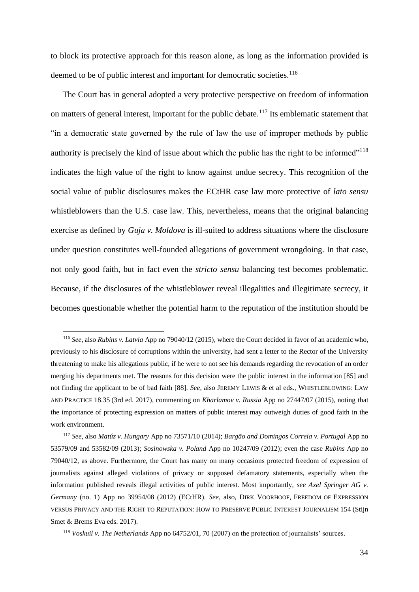to block its protective approach for this reason alone, as long as the information provided is deemed to be of public interest and important for democratic societies.<sup>116</sup>

The Court has in general adopted a very protective perspective on freedom of information on matters of general interest, important for the public debate.<sup>117</sup> Its emblematic statement that "in a democratic state governed by the rule of law the use of improper methods by public authority is precisely the kind of issue about which the public has the right to be informed"<sup>118</sup> indicates the high value of the right to know against undue secrecy. This recognition of the social value of public disclosures makes the ECtHR case law more protective of *lato sensu* whistleblowers than the U.S. case law. This, nevertheless, means that the original balancing exercise as defined by *Guja v. Moldova* is ill-suited to address situations where the disclosure under question constitutes well-founded allegations of government wrongdoing. In that case, not only good faith, but in fact even the *stricto sensu* balancing test becomes problematic. Because, if the disclosures of the whistleblower reveal illegalities and illegitimate secrecy, it becomes questionable whether the potential harm to the reputation of the institution should be

<sup>116</sup> *See*, also *Rubins v. Latvia* App no 79040/12 (2015), where the Court decided in favor of an academic who, previously to his disclosure of corruptions within the university, had sent a letter to the Rector of the University threatening to make his allegations public, if he were to not see his demands regarding the revocation of an order merging his departments met. The reasons for this decision were the public interest in the information [85] and not finding the applicant to be of bad faith [88]. *See*, also JEREMY LEWIS & et al eds., WHISTLEBLOWING: LAW AND PRACTICE 18.35 (3rd ed. 2017), commenting on *Kharlamov v. Russia* App no 27447/07 (2015), noting that the importance of protecting expression on matters of public interest may outweigh duties of good faith in the work environment.

<sup>117</sup> *See*, also *Matúz v. Hungary* App no 73571/10 (2014); *Bargão and Domingos Correia v. Portugal* App no 53579/09 and 53582/09 (2013); *Sosinowska v. Poland* App no 10247/09 (2012); even the case *Rubins* App no 79040/12, as above. Furthermore, the Court has many on many occasions protected freedom of expression of journalists against alleged violations of privacy or supposed defamatory statements, especially when the information published reveals illegal activities of public interest. Most importantly, *see Axel Springer AG v. Germany* (no. 1) App no 39954/08 (2012) (ECtHR). *See,* also*,* DIRK VOORHOOF, FREEDOM OF EXPRESSION VERSUS PRIVACY AND THE RIGHT TO REPUTATION: HOW TO PRESERVE PUBLIC INTEREST JOURNALISM 154 (Stijn Smet & Brems Eva eds. 2017).

<sup>118</sup> *Voskuil v. The Netherlands* App no 64752/01, 70 (2007) on the protection of journalists' sources.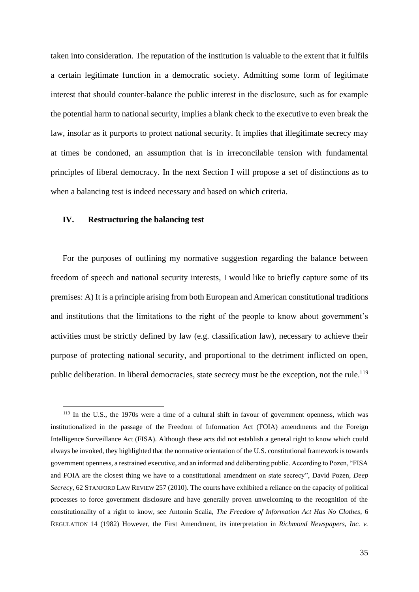taken into consideration. The reputation of the institution is valuable to the extent that it fulfils a certain legitimate function in a democratic society. Admitting some form of legitimate interest that should counter-balance the public interest in the disclosure, such as for example the potential harm to national security, implies a blank check to the executive to even break the law, insofar as it purports to protect national security. It implies that illegitimate secrecy may at times be condoned, an assumption that is in irreconcilable tension with fundamental principles of liberal democracy. In the next Section I will propose a set of distinctions as to when a balancing test is indeed necessary and based on which criteria.

## <span id="page-34-0"></span>**IV. Restructuring the balancing test**

For the purposes of outlining my normative suggestion regarding the balance between freedom of speech and national security interests, I would like to briefly capture some of its premises: A) It is a principle arising from both European and American constitutional traditions and institutions that the limitations to the right of the people to know about government's activities must be strictly defined by law (e.g. classification law), necessary to achieve their purpose of protecting national security, and proportional to the detriment inflicted on open, public deliberation. In liberal democracies, state secrecy must be the exception, not the rule.<sup>119</sup>

<sup>119</sup> In the U.S., the 1970s were a time of a cultural shift in favour of government openness, which was institutionalized in the passage of the Freedom of Information Act (FOIA) amendments and the Foreign Intelligence Surveillance Act (FISA). Although these acts did not establish a general right to know which could always be invoked, they highlighted that the normative orientation of the U.S. constitutional framework is towards government openness, a restrained executive, and an informed and deliberating public. According to Pozen, "FISA and FOIA are the closest thing we have to a constitutional amendment on state secrecy", David Pozen, *Deep Secrecy*, 62 STANFORD LAW REVIEW 257 (2010). The courts have exhibited a reliance on the capacity of political processes to force government disclosure and have generally proven unwelcoming to the recognition of the constitutionality of a right to know, see Antonin Scalia, *The Freedom of Information Act Has No Clothes*, 6 REGULATION 14 (1982) However, the First Amendment, its interpretation in *Richmond Newspapers, Inc. v.*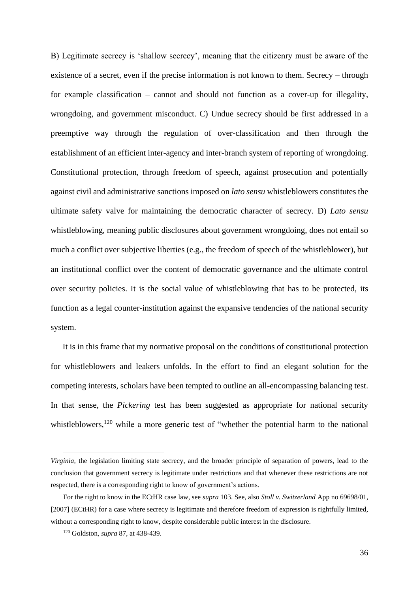B) Legitimate secrecy is 'shallow secrecy', meaning that the citizenry must be aware of the existence of a secret, even if the precise information is not known to them. Secrecy – through for example classification – cannot and should not function as a cover-up for illegality, wrongdoing, and government misconduct. C) Undue secrecy should be first addressed in a preemptive way through the regulation of over-classification and then through the establishment of an efficient inter-agency and inter-branch system of reporting of wrongdoing. Constitutional protection, through freedom of speech, against prosecution and potentially against civil and administrative sanctions imposed on *lato sensu* whistleblowers constitutes the ultimate safety valve for maintaining the democratic character of secrecy. D) *Lato sensu* whistleblowing, meaning public disclosures about government wrongdoing, does not entail so much a conflict over subjective liberties (e.g., the freedom of speech of the whistleblower), but an institutional conflict over the content of democratic governance and the ultimate control over security policies. It is the social value of whistleblowing that has to be protected, its function as a legal counter-institution against the expansive tendencies of the national security system.

It is in this frame that my normative proposal on the conditions of constitutional protection for whistleblowers and leakers unfolds. In the effort to find an elegant solution for the competing interests, scholars have been tempted to outline an all-encompassing balancing test. In that sense, the *Pickering* test has been suggested as appropriate for national security whistleblowers,<sup>120</sup> while a more generic test of "whether the potential harm to the national

*Virginia,* the legislation limiting state secrecy, and the broader principle of separation of powers, lead to the conclusion that government secrecy is legitimate under restrictions and that whenever these restrictions are not respected, there is a corresponding right to know of government's actions.

For the right to know in the ECtHR case law, see *supra* 103. See, also *Stoll v. Switzerland* App no 69698/01, [2007] (ECtHR) for a case where secrecy is legitimate and therefore freedom of expression is rightfully limited, without a corresponding right to know, despite considerable public interest in the disclosure.

<sup>120</sup> Goldston, *supra* 87, at 438-439.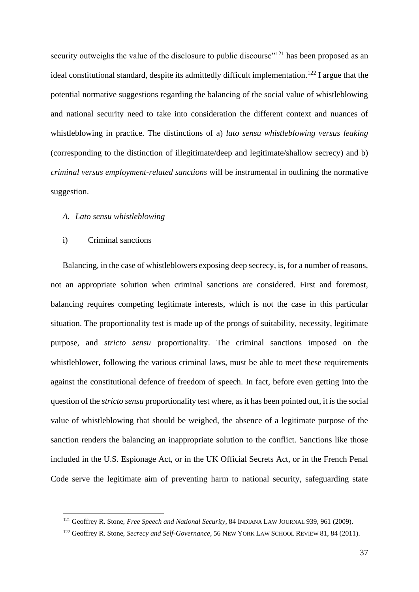security outweighs the value of the disclosure to public discourse"<sup>121</sup> has been proposed as an ideal constitutional standard, despite its admittedly difficult implementation.<sup>122</sup> I argue that the potential normative suggestions regarding the balancing of the social value of whistleblowing and national security need to take into consideration the different context and nuances of whistleblowing in practice. The distinctions of a) *lato sensu whistleblowing versus leaking* (corresponding to the distinction of illegitimate/deep and legitimate/shallow secrecy) and b) *criminal versus employment-related sanctions* will be instrumental in outlining the normative suggestion.

#### <span id="page-36-0"></span>*A. Lato sensu whistleblowing*

#### <span id="page-36-1"></span>i) Criminal sanctions

Balancing, in the case of whistleblowers exposing deep secrecy, is, for a number of reasons, not an appropriate solution when criminal sanctions are considered. First and foremost, balancing requires competing legitimate interests, which is not the case in this particular situation. The proportionality test is made up of the prongs of suitability, necessity, legitimate purpose, and *stricto sensu* proportionality. The criminal sanctions imposed on the whistleblower, following the various criminal laws, must be able to meet these requirements against the constitutional defence of freedom of speech. In fact, before even getting into the question of the *stricto sensu* proportionality test where, as it has been pointed out, it is the social value of whistleblowing that should be weighed, the absence of a legitimate purpose of the sanction renders the balancing an inappropriate solution to the conflict. Sanctions like those included in the U.S. Espionage Act, or in the UK Official Secrets Act, or in the French Penal Code serve the legitimate aim of preventing harm to national security, safeguarding state

<sup>121</sup> Geoffrey R. Stone, *Free Speech and National Security*, 84 INDIANA LAW JOURNAL 939, 961 (2009).

<sup>122</sup> Geoffrey R. Stone, *Secrecy and Self-Governance*, 56 NEW YORK LAW SCHOOL REVIEW 81, 84 (2011).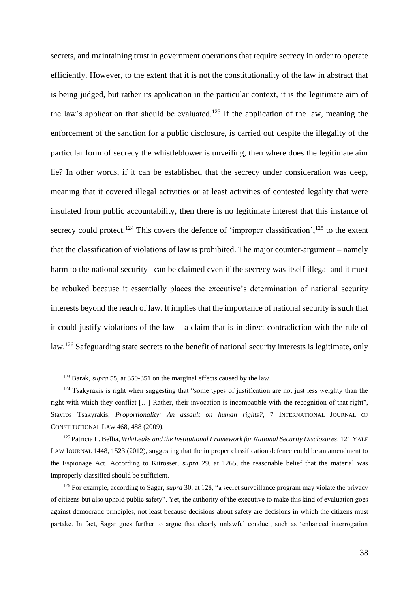secrets, and maintaining trust in government operations that require secrecy in order to operate efficiently. However, to the extent that it is not the constitutionality of the law in abstract that is being judged, but rather its application in the particular context, it is the legitimate aim of the law's application that should be evaluated.<sup>123</sup> If the application of the law, meaning the enforcement of the sanction for a public disclosure, is carried out despite the illegality of the particular form of secrecy the whistleblower is unveiling, then where does the legitimate aim lie? In other words, if it can be established that the secrecy under consideration was deep, meaning that it covered illegal activities or at least activities of contested legality that were insulated from public accountability, then there is no legitimate interest that this instance of secrecy could protect.<sup>124</sup> This covers the defence of 'improper classification',<sup>125</sup> to the extent that the classification of violations of law is prohibited. The major counter-argument – namely harm to the national security –can be claimed even if the secrecy was itself illegal and it must be rebuked because it essentially places the executive's determination of national security interests beyond the reach of law. It implies that the importance of national security is such that it could justify violations of the law – a claim that is in direct contradiction with the rule of law.<sup>126</sup> Safeguarding state secrets to the benefit of national security interests is legitimate, only

<sup>123</sup> Barak, *supra* 55, at 350-351 on the marginal effects caused by the law.

<sup>&</sup>lt;sup>124</sup> Tsakyrakis is right when suggesting that "some types of justification are not just less weighty than the right with which they conflict […] Rather, their invocation is incompatible with the recognition of that right", Stavros Tsakyrakis, *Proportionality: An assault on human rights?*, 7 INTERNATIONAL JOURNAL OF CONSTITUTIONAL LAW 468, 488 (2009).

<sup>125</sup> Patricia L. Bellia, *WikiLeaks and the Institutional Framework for National Security Disclosures*, 121 YALE LAW JOURNAL 1448, 1523 (2012), suggesting that the improper classification defence could be an amendment to the Espionage Act. According to Kitrosser, *supra* 29, at 1265, the reasonable belief that the material was improperly classified should be sufficient.

<sup>126</sup> For example, according to Sagar, *supra* 30, at 128, "a secret surveillance program may violate the privacy of citizens but also uphold public safety". Yet, the authority of the executive to make this kind of evaluation goes against democratic principles, not least because decisions about safety are decisions in which the citizens must partake. In fact, Sagar goes further to argue that clearly unlawful conduct, such as 'enhanced interrogation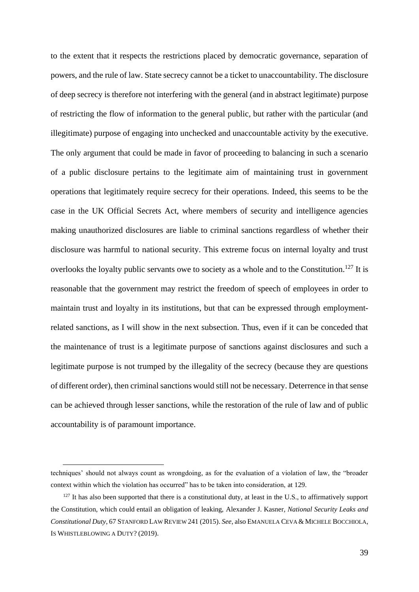to the extent that it respects the restrictions placed by democratic governance, separation of powers, and the rule of law. State secrecy cannot be a ticket to unaccountability. The disclosure of deep secrecy is therefore not interfering with the general (and in abstract legitimate) purpose of restricting the flow of information to the general public, but rather with the particular (and illegitimate) purpose of engaging into unchecked and unaccountable activity by the executive. The only argument that could be made in favor of proceeding to balancing in such a scenario of a public disclosure pertains to the legitimate aim of maintaining trust in government operations that legitimately require secrecy for their operations. Indeed, this seems to be the case in the UK Official Secrets Act, where members of security and intelligence agencies making unauthorized disclosures are liable to criminal sanctions regardless of whether their disclosure was harmful to national security. This extreme focus on internal loyalty and trust overlooks the loyalty public servants owe to society as a whole and to the Constitution.<sup>127</sup> It is reasonable that the government may restrict the freedom of speech of employees in order to maintain trust and loyalty in its institutions, but that can be expressed through employmentrelated sanctions, as I will show in the next subsection. Thus, even if it can be conceded that the maintenance of trust is a legitimate purpose of sanctions against disclosures and such a legitimate purpose is not trumped by the illegality of the secrecy (because they are questions of different order), then criminal sanctions would still not be necessary. Deterrence in that sense can be achieved through lesser sanctions, while the restoration of the rule of law and of public accountability is of paramount importance.

techniques' should not always count as wrongdoing, as for the evaluation of a violation of law, the "broader context within which the violation has occurred" has to be taken into consideration, at 129.

 $127$  It has also been supported that there is a constitutional duty, at least in the U.S., to affirmatively support the Constitution, which could entail an obligation of leaking, Alexander J. Kasner, *National Security Leaks and Constitutional Duty*, 67 STANFORD LAW REVIEW 241 (2015). *See*, also EMANUELA CEVA & MICHELE BOCCHIOLA, IS WHISTLEBLOWING A DUTY? (2019).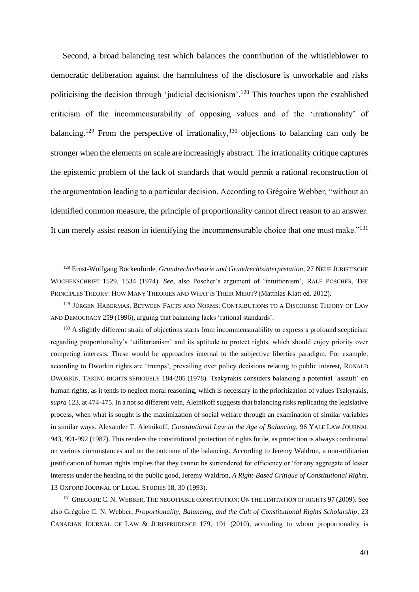Second, a broad balancing test which balances the contribution of the whistleblower to democratic deliberation against the harmfulness of the disclosure is unworkable and risks politicising the decision through 'judicial decisionism'.<sup>128</sup> This touches upon the established criticism of the incommensurability of opposing values and of the 'irrationality' of balancing.<sup>129</sup> From the perspective of irrationality,<sup>130</sup> objections to balancing can only be stronger when the elements on scale are increasingly abstract. The irrationality critique captures the epistemic problem of the lack of standards that would permit a rational reconstruction of the argumentation leading to a particular decision. According to Grégoire Webber, "without an identified common measure, the principle of proportionality cannot direct reason to an answer. It can merely assist reason in identifying the incommensurable choice that one must make." $131$ 

<sup>131</sup> GRÉGOIRE C. N. WEBBER, THE NEGOTIABLE CONSTITUTION: ON THE LIMITATION OF RIGHTS 97 (2009). See also Grégoire C. N. Webber, *Proportionality, Balancing, and the Cult of Constitutional Rights Scholarship*, 23 CANADIAN JOURNAL OF LAW & JURISPRUDENCE 179, 191 (2010), according to whom proportionality is

<sup>128</sup> Ernst-Wolfgang Böckenförde, *Grundrechtstheorie und Grundrechtsinterpretation*, 27 NEUE JURISTISCHE WOCHENSCHRIFT 1529, 1534 (1974). *See*, also Poscher's argument of 'intuitionism', RALF POSCHER, THE PRINCIPLES THEORY: HOW MANY THEORIES AND WHAT IS THEIR MERIT? (Matthias Klatt ed. 2012).

<sup>&</sup>lt;sup>129</sup> JÜRGEN HABERMAS, BETWEEN FACTS AND NORMS: CONTRIBUTIONS TO A DISCOURSE THEORY OF LAW AND DEMOCRACY 259 (1996), arguing that balancing lacks 'rational standards'.

<sup>&</sup>lt;sup>130</sup> A slightly different strain of objections starts from incommensurability to express a profound scepticism regarding proportionality's 'utilitarianism' and its aptitude to protect rights, which should enjoy priority over competing interests. These would be approaches internal to the subjective liberties paradigm. For example, according to Dworkin rights are 'trumps', prevailing over policy decisions relating to public interest, RONALD DWORKIN, TAKING RIGHTS SERIOUSLY 184-205 (1978). Tsakyrakis considers balancing a potential 'assault' on human rights, as it tends to neglect moral reasoning, which is necessary in the prioritization of values Tsakyrakis, *supra* 123, at 474-475. In a not so different vein, Aleinikoff suggests that balancing risks replicating the legislative process, when what is sought is the maximization of social welfare through an examination of similar variables in similar ways. Alexander T. Aleinikoff, *Constitutional Law in the Age of Balancing*, 96 YALE LAW JOURNAL 943, 991-992 (1987). This renders the constitutional protection of rights futile, as protection is always conditional on various circumstances and on the outcome of the balancing. According to Jeremy Waldron, a non-utilitarian justification of human rights implies that they cannot be surrendered for efficiency or 'for any aggregate of lesser interests under the heading of the public good, Jeremy Waldron, *A Right-Based Critique of Constitutional Rights*, 13 OXFORD JOURNAL OF LEGAL STUDIES 18, 30 (1993).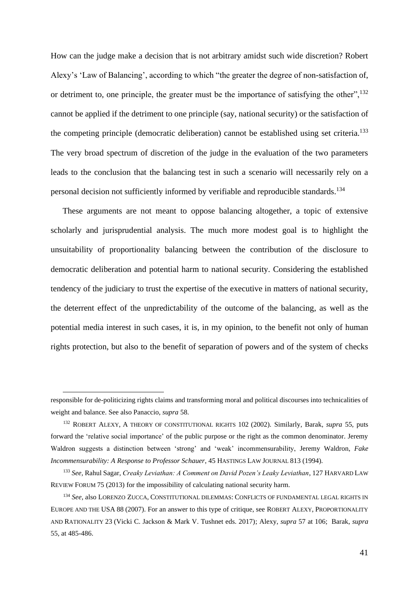How can the judge make a decision that is not arbitrary amidst such wide discretion? Robert Alexy's 'Law of Balancing', according to which "the greater the degree of non-satisfaction of, or detriment to, one principle, the greater must be the importance of satisfying the other",<sup>132</sup> cannot be applied if the detriment to one principle (say, national security) or the satisfaction of the competing principle (democratic deliberation) cannot be established using set criteria.<sup>133</sup> The very broad spectrum of discretion of the judge in the evaluation of the two parameters leads to the conclusion that the balancing test in such a scenario will necessarily rely on a personal decision not sufficiently informed by verifiable and reproducible standards.<sup>134</sup>

These arguments are not meant to oppose balancing altogether, a topic of extensive scholarly and jurisprudential analysis. The much more modest goal is to highlight the unsuitability of proportionality balancing between the contribution of the disclosure to democratic deliberation and potential harm to national security. Considering the established tendency of the judiciary to trust the expertise of the executive in matters of national security, the deterrent effect of the unpredictability of the outcome of the balancing, as well as the potential media interest in such cases, it is, in my opinion, to the benefit not only of human rights protection, but also to the benefit of separation of powers and of the system of checks

responsible for de-politicizing rights claims and transforming moral and political discourses into technicalities of weight and balance. See also Panaccio, *supra* 58.

<sup>132</sup> ROBERT ALEXY, A THEORY OF CONSTITUTIONAL RIGHTS 102 (2002). Similarly, Barak, *supra* 55, puts forward the 'relative social importance' of the public purpose or the right as the common denominator. Jeremy Waldron suggests a distinction between 'strong' and 'weak' incommensurability, Jeremy Waldron, *Fake Incommensurability: A Response to Professor Schauer*, 45 HASTINGS LAW JOURNAL 813 (1994).

<sup>133</sup> *See,* Rahul Sagar, *Creaky Leviathan: A Comment on David Pozen's Leaky Leviathan*, 127 HARVARD LAW REVIEW FORUM 75 (2013) for the impossibility of calculating national security harm.

<sup>134</sup> *See*, also LORENZO ZUCCA, CONSTITUTIONAL DILEMMAS: CONFLICTS OF FUNDAMENTAL LEGAL RIGHTS IN EUROPE AND THE USA 88 (2007). For an answer to this type of critique, see ROBERT ALEXY, PROPORTIONALITY AND RATIONALITY 23 (Vicki C. Jackson & Mark V. Tushnet eds. 2017); Alexy, *supra* 57 at 106; Barak, *supra* 55, at 485-486.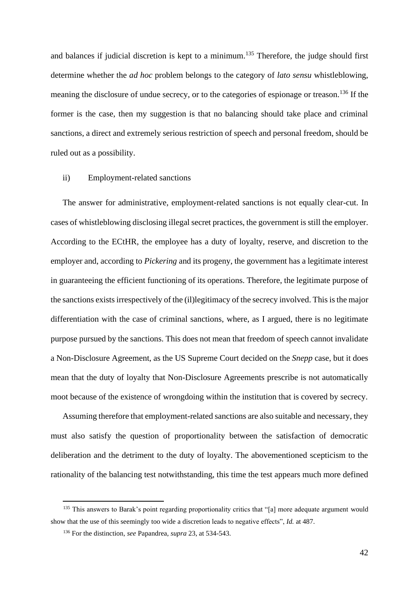and balances if judicial discretion is kept to a minimum.<sup>135</sup> Therefore, the judge should first determine whether the *ad hoc* problem belongs to the category of *lato sensu* whistleblowing, meaning the disclosure of undue secrecy, or to the categories of espionage or treason.<sup>136</sup> If the former is the case, then my suggestion is that no balancing should take place and criminal sanctions, a direct and extremely serious restriction of speech and personal freedom, should be ruled out as a possibility.

#### <span id="page-41-0"></span>ii) Employment-related sanctions

The answer for administrative, employment-related sanctions is not equally clear-cut. In cases of whistleblowing disclosing illegal secret practices, the government is still the employer. According to the ECtHR, the employee has a duty of loyalty, reserve, and discretion to the employer and, according to *Pickering* and its progeny, the government has a legitimate interest in guaranteeing the efficient functioning of its operations. Therefore, the legitimate purpose of the sanctions exists irrespectively of the (il)legitimacy of the secrecy involved. This is the major differentiation with the case of criminal sanctions, where, as I argued, there is no legitimate purpose pursued by the sanctions. This does not mean that freedom of speech cannot invalidate a Non-Disclosure Agreement, as the US Supreme Court decided on the *Snepp* case, but it does mean that the duty of loyalty that Non-Disclosure Agreements prescribe is not automatically moot because of the existence of wrongdoing within the institution that is covered by secrecy.

Assuming therefore that employment-related sanctions are also suitable and necessary, they must also satisfy the question of proportionality between the satisfaction of democratic deliberation and the detriment to the duty of loyalty. The abovementioned scepticism to the rationality of the balancing test notwithstanding, this time the test appears much more defined

<sup>&</sup>lt;sup>135</sup> This answers to Barak's point regarding proportionality critics that "[a] more adequate argument would show that the use of this seemingly too wide a discretion leads to negative effects", *Id.* at 487.

<sup>136</sup> For the distinction, *see* Papandrea, *supra* 23, at 534-543.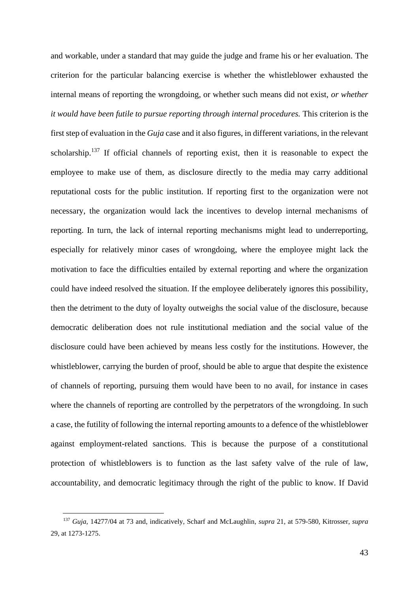and workable, under a standard that may guide the judge and frame his or her evaluation. The criterion for the particular balancing exercise is whether the whistleblower exhausted the internal means of reporting the wrongdoing, or whether such means did not exist, *or whether it would have been futile to pursue reporting through internal procedures.* This criterion is the first step of evaluation in the *Guja* case and it also figures, in different variations, in the relevant scholarship.<sup>137</sup> If official channels of reporting exist, then it is reasonable to expect the employee to make use of them, as disclosure directly to the media may carry additional reputational costs for the public institution. If reporting first to the organization were not necessary, the organization would lack the incentives to develop internal mechanisms of reporting. In turn, the lack of internal reporting mechanisms might lead to underreporting, especially for relatively minor cases of wrongdoing, where the employee might lack the motivation to face the difficulties entailed by external reporting and where the organization could have indeed resolved the situation. If the employee deliberately ignores this possibility, then the detriment to the duty of loyalty outweighs the social value of the disclosure, because democratic deliberation does not rule institutional mediation and the social value of the disclosure could have been achieved by means less costly for the institutions. However, the whistleblower, carrying the burden of proof, should be able to argue that despite the existence of channels of reporting, pursuing them would have been to no avail, for instance in cases where the channels of reporting are controlled by the perpetrators of the wrongdoing. In such a case, the futility of following the internal reporting amounts to a defence of the whistleblower against employment-related sanctions. This is because the purpose of a constitutional protection of whistleblowers is to function as the last safety valve of the rule of law, accountability, and democratic legitimacy through the right of the public to know. If David

<sup>137</sup> *Guja,* 14277/04 at 73 and, indicatively, Scharf and McLaughlin, *supra* 21, at 579-580, Kitrosser, *supra* 29, at 1273-1275.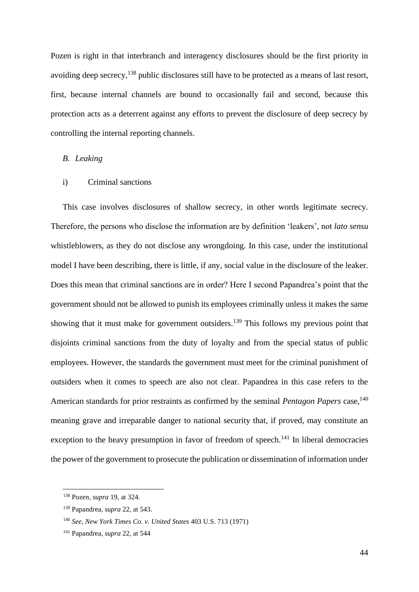Pozen is right in that interbranch and interagency disclosures should be the first priority in avoiding deep secrecy,<sup>138</sup> public disclosures still have to be protected as a means of last resort, first, because internal channels are bound to occasionally fail and second, because this protection acts as a deterrent against any efforts to prevent the disclosure of deep secrecy by controlling the internal reporting channels.

#### <span id="page-43-0"></span>*B. Leaking*

### <span id="page-43-1"></span>i) Criminal sanctions

This case involves disclosures of shallow secrecy, in other words legitimate secrecy. Therefore, the persons who disclose the information are by definition 'leakers', not *lato sensu* whistleblowers, as they do not disclose any wrongdoing. In this case, under the institutional model I have been describing, there is little, if any, social value in the disclosure of the leaker. Does this mean that criminal sanctions are in order? Here I second Papandrea's point that the government should not be allowed to punish its employees criminally unless it makes the same showing that it must make for government outsiders.<sup>139</sup> This follows my previous point that disjoints criminal sanctions from the duty of loyalty and from the special status of public employees. However, the standards the government must meet for the criminal punishment of outsiders when it comes to speech are also not clear. Papandrea in this case refers to the American standards for prior restraints as confirmed by the seminal *Pentagon Papers* case,<sup>140</sup> meaning grave and irreparable danger to national security that, if proved, may constitute an exception to the heavy presumption in favor of freedom of speech.<sup>141</sup> In liberal democracies the power of the government to prosecute the publication or dissemination of information under

<sup>138</sup> Pozen, *supra* 19, at 324.

<sup>139</sup> Papandrea, *supra* 22, at 543.

<sup>140</sup> *See, New York Times Co. v. United States* 403 U.S. 713 (1971)

<sup>141</sup> Papandrea, *supra* 22, at 544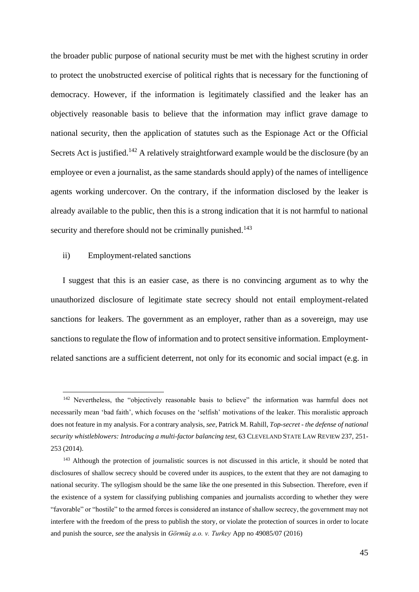the broader public purpose of national security must be met with the highest scrutiny in order to protect the unobstructed exercise of political rights that is necessary for the functioning of democracy. However, if the information is legitimately classified and the leaker has an objectively reasonable basis to believe that the information may inflict grave damage to national security, then the application of statutes such as the Espionage Act or the Official Secrets Act is justified.<sup>142</sup> A relatively straightforward example would be the disclosure (by an employee or even a journalist, as the same standards should apply) of the names of intelligence agents working undercover. On the contrary, if the information disclosed by the leaker is already available to the public, then this is a strong indication that it is not harmful to national security and therefore should not be criminally punished.<sup>143</sup>

#### <span id="page-44-0"></span>ii) Employment-related sanctions

I suggest that this is an easier case, as there is no convincing argument as to why the unauthorized disclosure of legitimate state secrecy should not entail employment-related sanctions for leakers. The government as an employer, rather than as a sovereign, may use sanctions to regulate the flow of information and to protect sensitive information. Employmentrelated sanctions are a sufficient deterrent, not only for its economic and social impact (e.g. in

<sup>&</sup>lt;sup>142</sup> Nevertheless, the "objectively reasonable basis to believe" the information was harmful does not necessarily mean 'bad faith', which focuses on the 'selfish' motivations of the leaker. This moralistic approach does not feature in my analysis. For a contrary analysis, *see*, Patrick M. Rahill, *Top-secret - the defense of national security whistleblowers: Introducing a multi-factor balancing test*, 63 CLEVELAND STATE LAW REVIEW 237, 251- 253 (2014).

<sup>&</sup>lt;sup>143</sup> Although the protection of journalistic sources is not discussed in this article, it should be noted that disclosures of shallow secrecy should be covered under its auspices, to the extent that they are not damaging to national security. The syllogism should be the same like the one presented in this Subsection. Therefore, even if the existence of a system for classifying publishing companies and journalists according to whether they were "favorable" or "hostile" to the armed forces is considered an instance of shallow secrecy, the government may not interfere with the freedom of the press to publish the story, or violate the protection of sources in order to locate and punish the source, *see* the analysis in *Görmüş a.o. v. Turkey* App no 49085/07 (2016)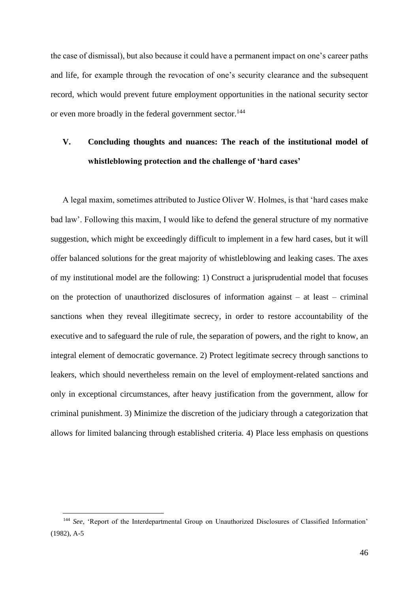the case of dismissal), but also because it could have a permanent impact on one's career paths and life, for example through the revocation of one's security clearance and the subsequent record, which would prevent future employment opportunities in the national security sector or even more broadly in the federal government sector.<sup>144</sup>

# <span id="page-45-0"></span>**V. Concluding thoughts and nuances: The reach of the institutional model of whistleblowing protection and the challenge of 'hard cases'**

A legal maxim, sometimes attributed to Justice Oliver W. Holmes, is that 'hard cases make bad law'. Following this maxim, I would like to defend the general structure of my normative suggestion, which might be exceedingly difficult to implement in a few hard cases, but it will offer balanced solutions for the great majority of whistleblowing and leaking cases. The axes of my institutional model are the following: 1) Construct a jurisprudential model that focuses on the protection of unauthorized disclosures of information against – at least – criminal sanctions when they reveal illegitimate secrecy, in order to restore accountability of the executive and to safeguard the rule of rule, the separation of powers, and the right to know, an integral element of democratic governance. 2) Protect legitimate secrecy through sanctions to leakers, which should nevertheless remain on the level of employment-related sanctions and only in exceptional circumstances, after heavy justification from the government, allow for criminal punishment. 3) Minimize the discretion of the judiciary through a categorization that allows for limited balancing through established criteria. 4) Place less emphasis on questions

<sup>&</sup>lt;sup>144</sup> See, 'Report of the Interdepartmental Group on Unauthorized Disclosures of Classified Information' (1982), A-5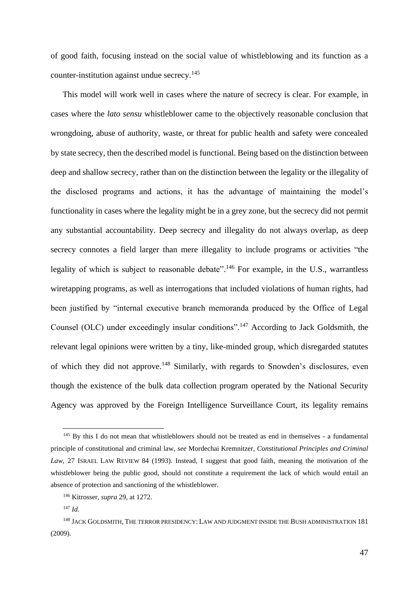of good faith, focusing instead on the social value of whistleblowing and its function as a counter-institution against undue secrecy.<sup>145</sup>

This model will work well in cases where the nature of secrecy is clear. For example, in cases where the *lato sensu* whistleblower came to the objectively reasonable conclusion that wrongdoing, abuse of authority, waste, or threat for public health and safety were concealed by state secrecy, then the described model is functional. Being based on the distinction between deep and shallow secrecy, rather than on the distinction between the legality or the illegality of the disclosed programs and actions, it has the advantage of maintaining the model's functionality in cases where the legality might be in a grey zone, but the secrecy did not permit any substantial accountability. Deep secrecy and illegality do not always overlap, as deep secrecy connotes a field larger than mere illegality to include programs or activities "the legality of which is subject to reasonable debate".<sup>146</sup> For example, in the U.S., warrantless wiretapping programs, as well as interrogations that included violations of human rights, had been justified by "internal executive branch memoranda produced by the Office of Legal Counsel (OLC) under exceedingly insular conditions".<sup>147</sup> According to Jack Goldsmith, the relevant legal opinions were written by a tiny, like-minded group, which disregarded statutes of which they did not approve.<sup>148</sup> Similarly, with regards to Snowden's disclosures, even though the existence of the bulk data collection program operated by the National Security Agency was approved by the Foreign Intelligence Surveillance Court, its legality remains

<sup>&</sup>lt;sup>145</sup> By this I do not mean that whistleblowers should not be treated as end in themselves - a fundamental principle of constitutional and criminal law, *see* Mordechai Kremnitzer, *Constitutional Principles and Criminal Law*, 27 ISRAEL LAW REVIEW 84 (1993). Instead, I suggest that good faith, meaning the motivation of the whistleblower being the public good, should not constitute a requirement the lack of which would entail an absence of protection and sanctioning of the whistleblower.

<sup>146</sup> Kitrosser, *supra* 29, at 1272.

<sup>147</sup> *Id.*

<sup>148</sup> JACK GOLDSMITH, THE TERROR PRESIDENCY: LAW AND JUDGMENT INSIDE THE BUSH ADMINISTRATION 181 (2009).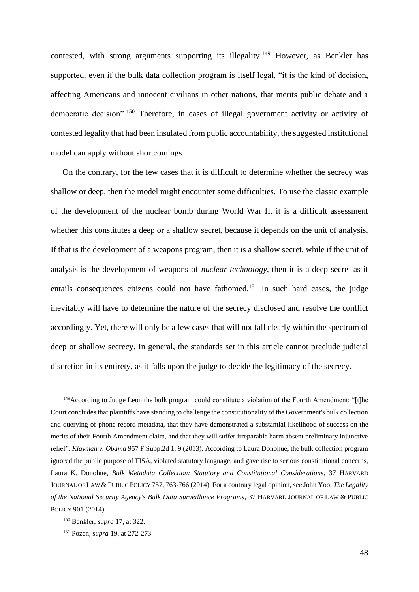contested, with strong arguments supporting its illegality.<sup>149</sup> However, as Benkler has supported, even if the bulk data collection program is itself legal, "it is the kind of decision, affecting Americans and innocent civilians in other nations, that merits public debate and a democratic decision".<sup>150</sup> Therefore, in cases of illegal government activity or activity of contested legality that had been insulated from public accountability, the suggested institutional model can apply without shortcomings.

On the contrary, for the few cases that it is difficult to determine whether the secrecy was shallow or deep, then the model might encounter some difficulties. To use the classic example of the development of the nuclear bomb during World War II, it is a difficult assessment whether this constitutes a deep or a shallow secret, because it depends on the unit of analysis. If that is the development of a weapons program, then it is a shallow secret, while if the unit of analysis is the development of weapons of *nuclear technology*, then it is a deep secret as it entails consequences citizens could not have fathomed.<sup>151</sup> In such hard cases, the judge inevitably will have to determine the nature of the secrecy disclosed and resolve the conflict accordingly. Yet, there will only be a few cases that will not fall clearly within the spectrum of deep or shallow secrecy. In general, the standards set in this article cannot preclude judicial discretion in its entirety, as it falls upon the judge to decide the legitimacy of the secrecy.

<sup>&</sup>lt;sup>149</sup>According to Judge Leon the bulk program could constitute a violation of the Fourth Amendment: "[t]he Court concludes that plaintiffs have standing to challenge the constitutionality of the Government's bulk collection and querying of phone record metadata, that they have demonstrated a substantial likelihood of success on the merits of their Fourth Amendment claim, and that they will suffer irreparable harm absent preliminary injunctive relief". *Klayman v. Obama* 957 F.Supp.2d 1, 9 (2013). According to Laura Donohue, the bulk collection program ignored the public purpose of FISA, violated statutory language, and gave rise to serious constitutional concerns, Laura K. Donohue, *Bulk Metadata Collection: Statutory and Constitutional Considerations*, 37 HARVARD JOURNAL OF LAW & PUBLIC POLICY 757, 763-766 (2014). For a contrary legal opinion, *see* John Yoo, *The Legality of the National Security Agency's Bulk Data Surveillance Programs*, 37 HARVARD JOURNAL OF LAW & PUBLIC POLICY 901 (2014).

<sup>150</sup> Benkler, *supra* 17, at 322.

<sup>151</sup> Pozen, *supra* 19, at 272-273.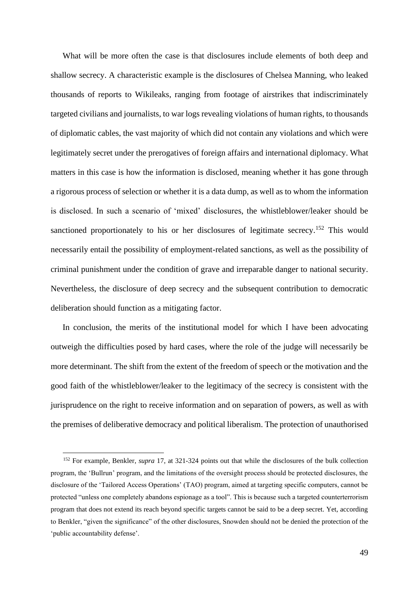What will be more often the case is that disclosures include elements of both deep and shallow secrecy. A characteristic example is the disclosures of Chelsea Manning, who leaked thousands of reports to Wikileaks, ranging from footage of airstrikes that indiscriminately targeted civilians and journalists, to war logs revealing violations of human rights, to thousands of diplomatic cables, the vast majority of which did not contain any violations and which were legitimately secret under the prerogatives of foreign affairs and international diplomacy. What matters in this case is how the information is disclosed, meaning whether it has gone through a rigorous process of selection or whether it is a data dump, as well as to whom the information is disclosed. In such a scenario of 'mixed' disclosures, the whistleblower/leaker should be sanctioned proportionately to his or her disclosures of legitimate secrecy.<sup>152</sup> This would necessarily entail the possibility of employment-related sanctions, as well as the possibility of criminal punishment under the condition of grave and irreparable danger to national security. Nevertheless, the disclosure of deep secrecy and the subsequent contribution to democratic deliberation should function as a mitigating factor.

In conclusion, the merits of the institutional model for which I have been advocating outweigh the difficulties posed by hard cases, where the role of the judge will necessarily be more determinant. The shift from the extent of the freedom of speech or the motivation and the good faith of the whistleblower/leaker to the legitimacy of the secrecy is consistent with the jurisprudence on the right to receive information and on separation of powers, as well as with the premises of deliberative democracy and political liberalism. The protection of unauthorised

<sup>152</sup> For example, Benkler, *supra* 17, at 321-324 points out that while the disclosures of the bulk collection program, the 'Bullrun' program, and the limitations of the oversight process should be protected disclosures, the disclosure of the 'Tailored Access Operations' (TAO) program, aimed at targeting specific computers, cannot be protected "unless one completely abandons espionage as a tool". This is because such a targeted counterterrorism program that does not extend its reach beyond specific targets cannot be said to be a deep secret. Yet, according to Benkler, "given the significance" of the other disclosures, Snowden should not be denied the protection of the 'public accountability defense'.